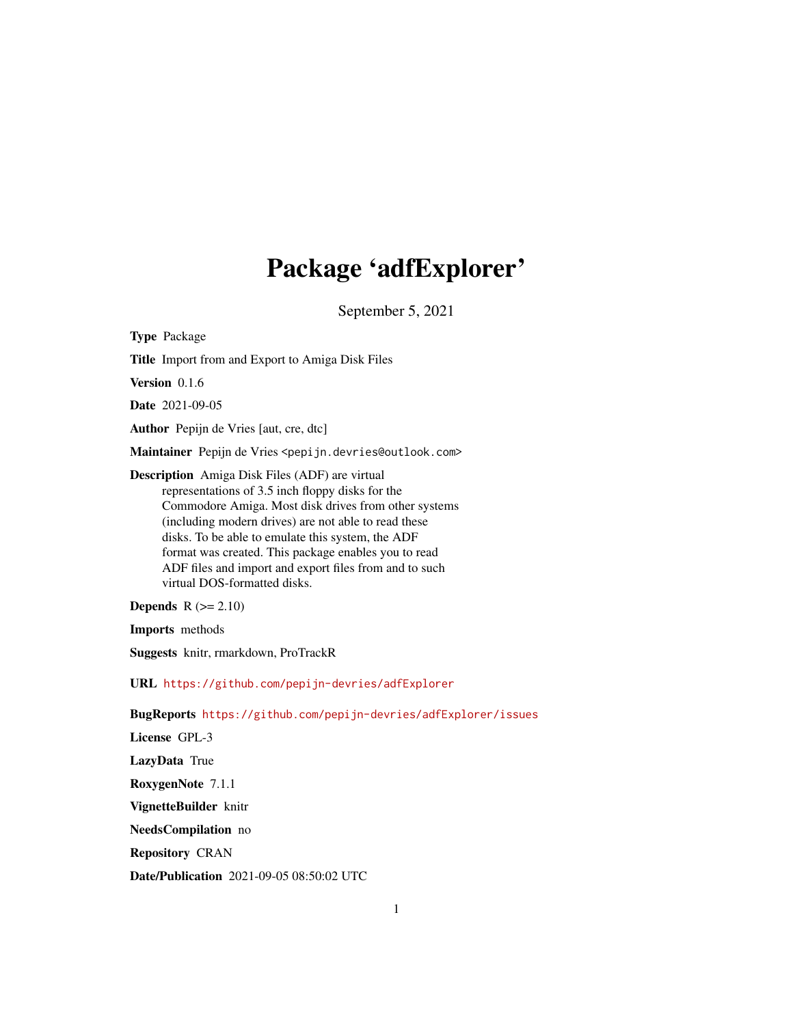# Package 'adfExplorer'

September 5, 2021

<span id="page-0-0"></span>Type Package Title Import from and Export to Amiga Disk Files Version 0.1.6 Date 2021-09-05 Author Pepijn de Vries [aut, cre, dtc] Maintainer Pepijn de Vries <pepijn.devries@outlook.com> Description Amiga Disk Files (ADF) are virtual representations of 3.5 inch floppy disks for the Commodore Amiga. Most disk drives from other systems (including modern drives) are not able to read these disks. To be able to emulate this system, the ADF format was created. This package enables you to read ADF files and import and export files from and to such virtual DOS-formatted disks. **Depends**  $R$  ( $>= 2.10$ ) Imports methods Suggests knitr, rmarkdown, ProTrackR URL <https://github.com/pepijn-devries/adfExplorer> BugReports <https://github.com/pepijn-devries/adfExplorer/issues> License GPL-3 LazyData True RoxygenNote 7.1.1 VignetteBuilder knitr NeedsCompilation no Repository CRAN

Date/Publication 2021-09-05 08:50:02 UTC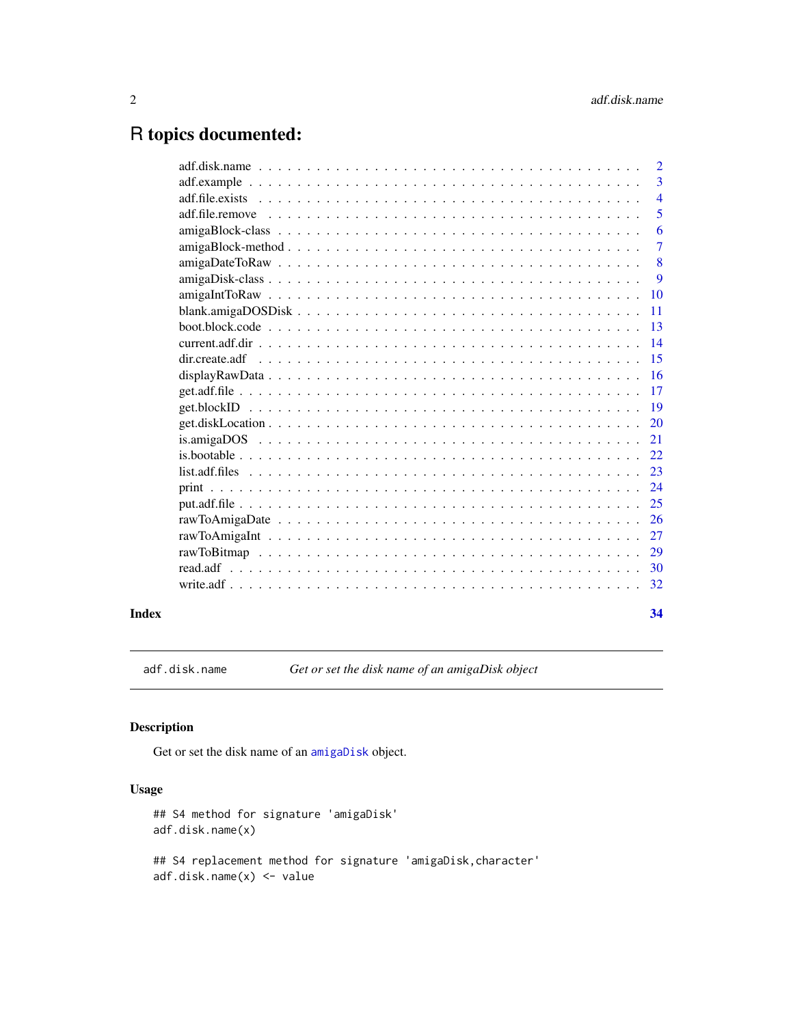# <span id="page-1-0"></span>R topics documented:

|  | $\overline{2}$ |
|--|----------------|
|  | $\overline{3}$ |
|  | $\overline{4}$ |
|  | 5              |
|  | 6              |
|  | $\overline{7}$ |
|  | 8              |
|  | 9              |
|  | 10             |
|  | 11             |
|  | 13             |
|  | 14             |
|  | 15             |
|  | 16             |
|  | 17             |
|  | 19             |
|  | 20             |
|  | 21             |
|  | 22             |
|  | 23             |
|  | 24             |
|  | 25             |
|  | 26             |
|  | 27             |
|  | 29             |
|  | 30             |
|  | 32             |
|  |                |

#### **Index** [34](#page-33-0)

adf.disk.name *Get or set the disk name of an amigaDisk object*

# Description

Get or set the disk name of an [amigaDisk](#page-8-1) object.

# Usage

```
## S4 method for signature 'amigaDisk'
adf.disk.name(x)
## S4 replacement method for signature 'amigaDisk,character'
adf.disk.name(x) <- value
```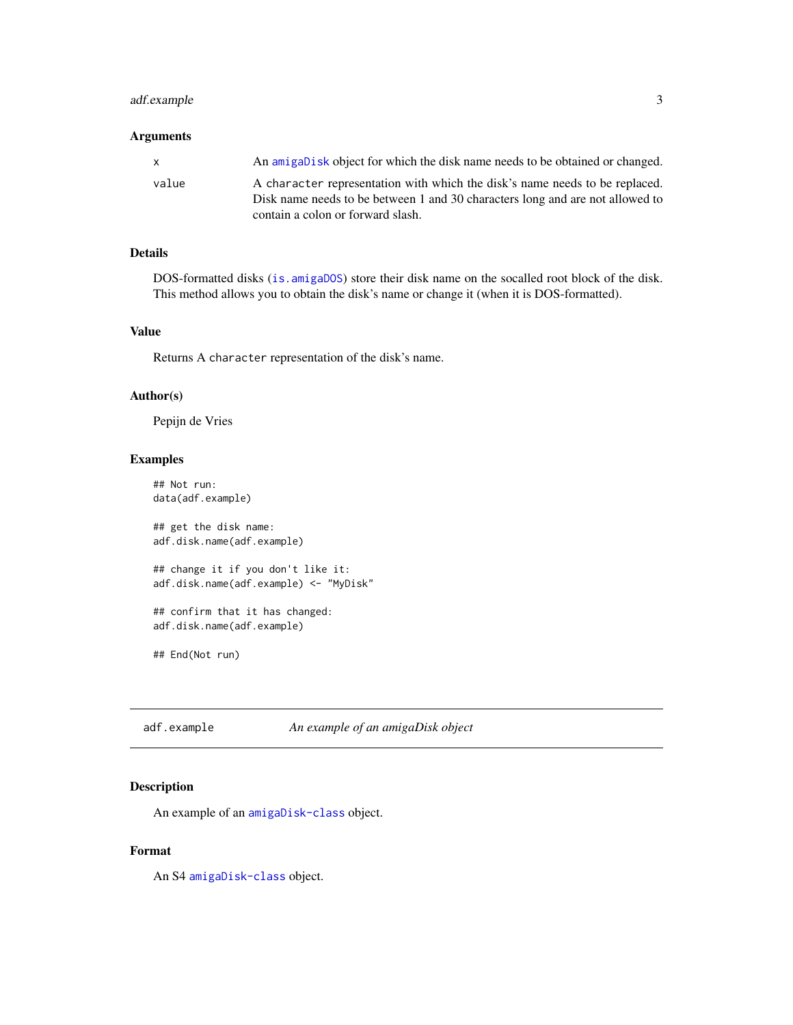# <span id="page-2-0"></span>adf.example 3

# Arguments

| X     | An amigabisk object for which the disk name needs to be obtained or changed.                                                                                 |
|-------|--------------------------------------------------------------------------------------------------------------------------------------------------------------|
| value | A character representation with which the disk's name needs to be replaced.<br>Disk name needs to be between 1 and 30 characters long and are not allowed to |
|       | contain a colon or forward slash.                                                                                                                            |

# Details

DOS-formatted disks ([is.amigaDOS](#page-20-1)) store their disk name on the socalled root block of the disk. This method allows you to obtain the disk's name or change it (when it is DOS-formatted).

#### Value

Returns A character representation of the disk's name.

#### Author(s)

Pepijn de Vries

# Examples

```
## Not run:
data(adf.example)
## get the disk name:
adf.disk.name(adf.example)
## change it if you don't like it:
adf.disk.name(adf.example) <- "MyDisk"
## confirm that it has changed:
adf.disk.name(adf.example)
## End(Not run)
```
adf.example *An example of an amigaDisk object*

# Description

An example of an [amigaDisk-class](#page-8-2) object.

# Format

An S4 [amigaDisk-class](#page-8-2) object.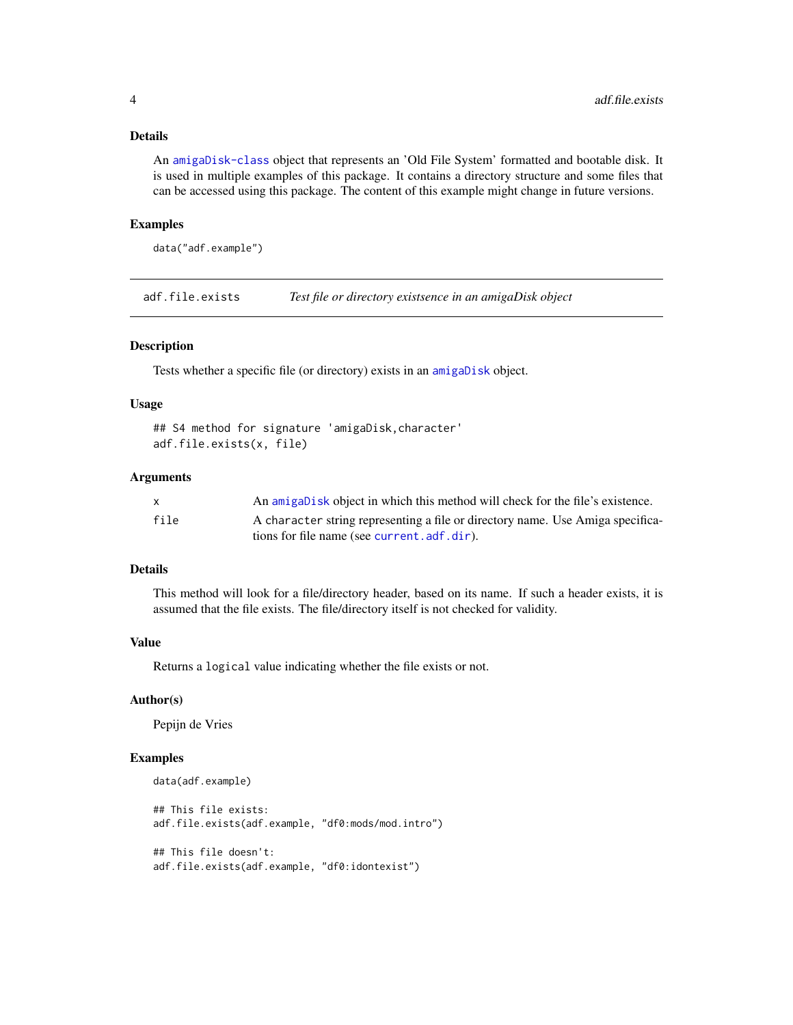# <span id="page-3-0"></span>Details

An [amigaDisk-class](#page-8-2) object that represents an 'Old File System' formatted and bootable disk. It is used in multiple examples of this package. It contains a directory structure and some files that can be accessed using this package. The content of this example might change in future versions.

#### Examples

```
data("adf.example")
```
adf.file.exists *Test file or directory existsence in an amigaDisk object*

# Description

Tests whether a specific file (or directory) exists in an [amigaDisk](#page-8-1) object.

# Usage

```
## S4 method for signature 'amigaDisk,character'
adf.file.exists(x, file)
```
# Arguments

|      | An amigabisk object in which this method will check for the file's existence.  |
|------|--------------------------------------------------------------------------------|
| file | A character string representing a file or directory name. Use Amiga specifica- |
|      | tions for file name (see current.adf.dir).                                     |

# Details

This method will look for a file/directory header, based on its name. If such a header exists, it is assumed that the file exists. The file/directory itself is not checked for validity.

#### Value

Returns a logical value indicating whether the file exists or not.

#### Author(s)

Pepijn de Vries

# Examples

```
data(adf.example)
## This file exists:
adf.file.exists(adf.example, "df0:mods/mod.intro")
## This file doesn't:
adf.file.exists(adf.example, "df0:idontexist")
```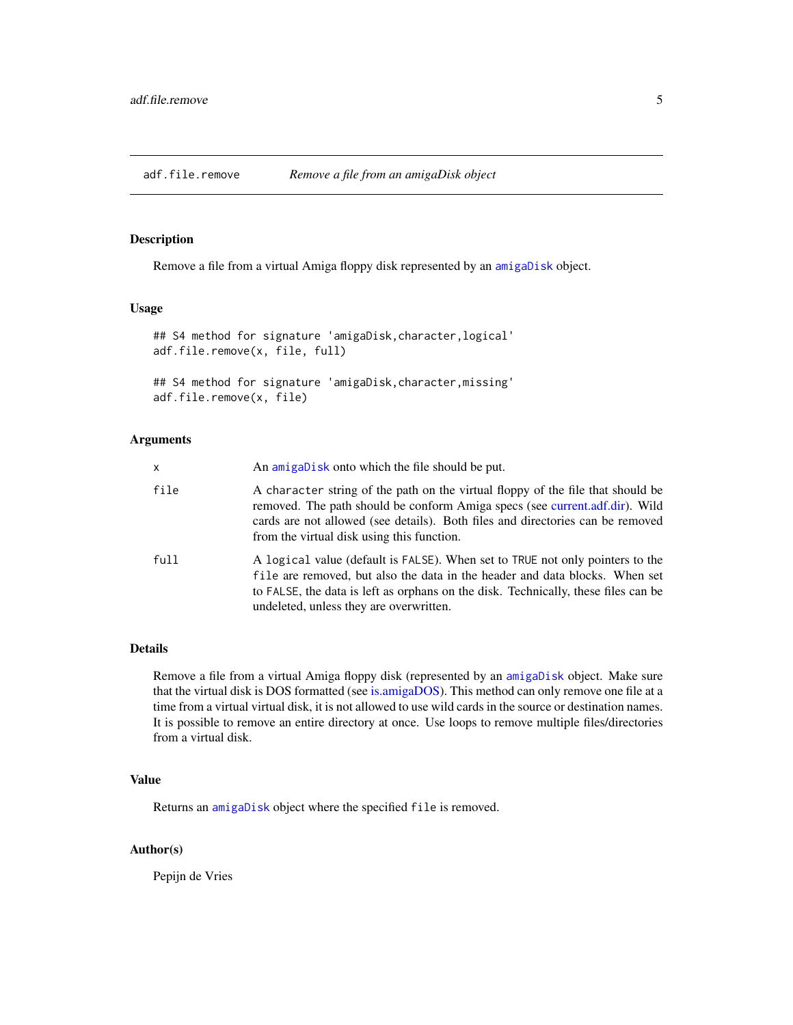<span id="page-4-0"></span>

# Description

Remove a file from a virtual Amiga floppy disk represented by an [amigaDisk](#page-8-1) object.

# Usage

```
## S4 method for signature 'amigaDisk,character,logical'
adf.file.remove(x, file, full)
```
## S4 method for signature 'amigaDisk,character,missing' adf.file.remove(x, file)

# **Arguments**

| x    | An amigabisk onto which the file should be put.                                                                                                                                                                                                                                                |
|------|------------------------------------------------------------------------------------------------------------------------------------------------------------------------------------------------------------------------------------------------------------------------------------------------|
| file | A character string of the path on the virtual floppy of the file that should be<br>removed. The path should be conform Amiga specs (see current.adf.dir). Wild<br>cards are not allowed (see details). Both files and directories can be removed<br>from the virtual disk using this function. |
| full | A logical value (default is FALSE). When set to TRUE not only pointers to the<br>file are removed, but also the data in the header and data blocks. When set<br>to FALSE, the data is left as orphans on the disk. Technically, these files can be<br>undeleted, unless they are overwritten.  |

# Details

Remove a file from a virtual Amiga floppy disk (represented by an [amigaDisk](#page-8-1) object. Make sure that the virtual disk is DOS formatted (see [is.amigaDOS\)](#page-20-1). This method can only remove one file at a time from a virtual virtual disk, it is not allowed to use wild cards in the source or destination names. It is possible to remove an entire directory at once. Use loops to remove multiple files/directories from a virtual disk.

# Value

Returns an [amigaDisk](#page-8-1) object where the specified file is removed.

# Author(s)

Pepijn de Vries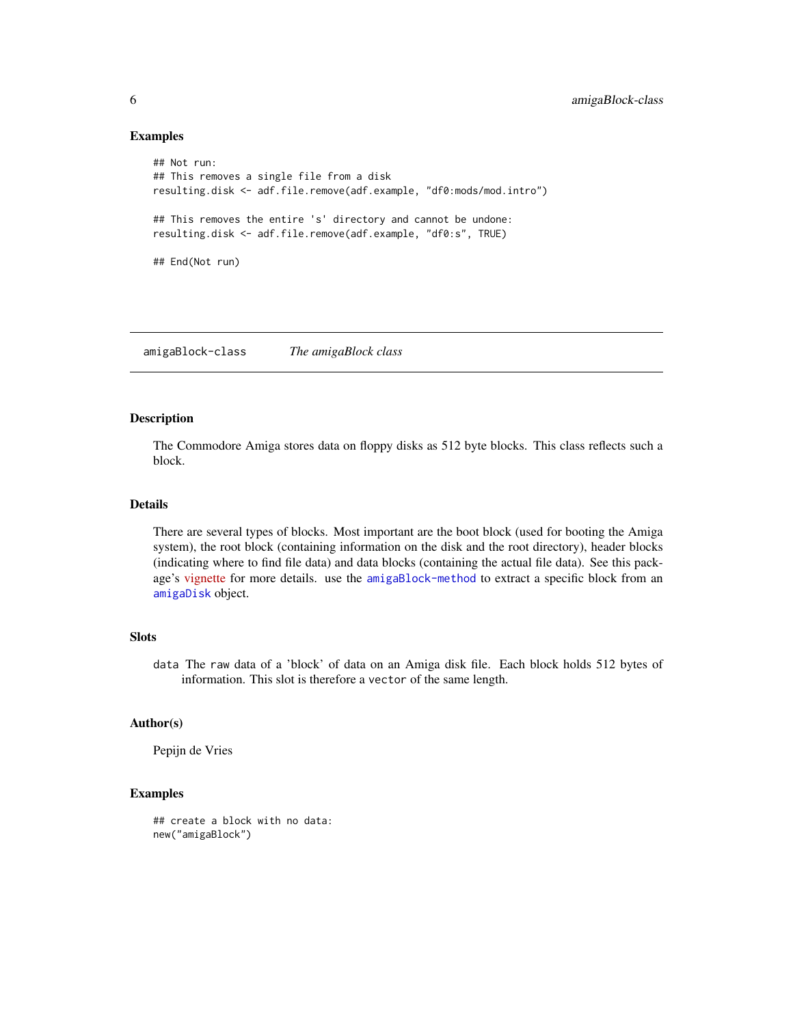# Examples

```
## Not run:
## This removes a single file from a disk
resulting.disk <- adf.file.remove(adf.example, "df0:mods/mod.intro")
## This removes the entire 's' directory and cannot be undone:
resulting.disk <- adf.file.remove(adf.example, "df0:s", TRUE)
## End(Not run)
```
<span id="page-5-2"></span>amigaBlock-class *The amigaBlock class*

# <span id="page-5-1"></span>Description

The Commodore Amiga stores data on floppy disks as 512 byte blocks. This class reflects such a block.

# Details

There are several types of blocks. Most important are the boot block (used for booting the Amiga system), the root block (containing information on the disk and the root directory), header blocks (indicating where to find file data) and data blocks (containing the actual file data). See this package's [vignette](../doc/amigaDiskFiles.html) for more details. use the [amigaBlock-method](#page-6-1) to extract a specific block from an [amigaDisk](#page-8-1) object.

# Slots

data The raw data of a 'block' of data on an Amiga disk file. Each block holds 512 bytes of information. This slot is therefore a vector of the same length.

# Author(s)

Pepijn de Vries

#### Examples

```
## create a block with no data:
new("amigaBlock")
```
<span id="page-5-0"></span>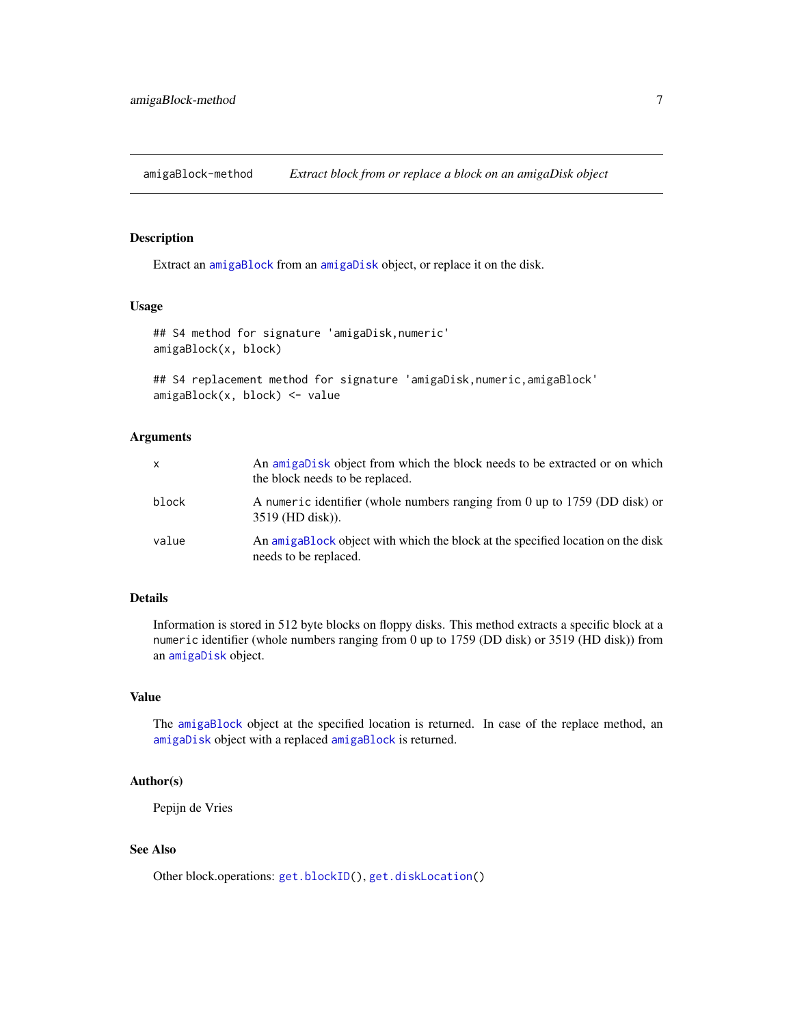<span id="page-6-1"></span><span id="page-6-0"></span>amigaBlock-method *Extract block from or replace a block on an amigaDisk object*

# Description

Extract an [amigaBlock](#page-5-1) from an [amigaDisk](#page-8-1) object, or replace it on the disk.

# Usage

```
## S4 method for signature 'amigaDisk,numeric'
amigaBlock(x, block)
```

```
## S4 replacement method for signature 'amigaDisk,numeric,amigaBlock'
amigaBlock(x, block) <- value
```
# **Arguments**

| X     | An amigaDisk object from which the block needs to be extracted or on which<br>the block needs to be replaced. |
|-------|---------------------------------------------------------------------------------------------------------------|
| block | A numeric identifier (whole numbers ranging from 0 up to 1759 (DD disk) or<br>$3519$ (HD disk)).              |
| value | An amigablock object with which the block at the specified location on the disk<br>needs to be replaced.      |

# Details

Information is stored in 512 byte blocks on floppy disks. This method extracts a specific block at a numeric identifier (whole numbers ranging from 0 up to 1759 (DD disk) or 3519 (HD disk)) from an [amigaDisk](#page-8-1) object.

# Value

The [amigaBlock](#page-5-1) object at the specified location is returned. In case of the replace method, an [amigaDisk](#page-8-1) object with a replaced [amigaBlock](#page-5-1) is returned.

# Author(s)

Pepijn de Vries

# See Also

Other block.operations: [get.blockID\(](#page-18-1)), [get.diskLocation\(](#page-19-1))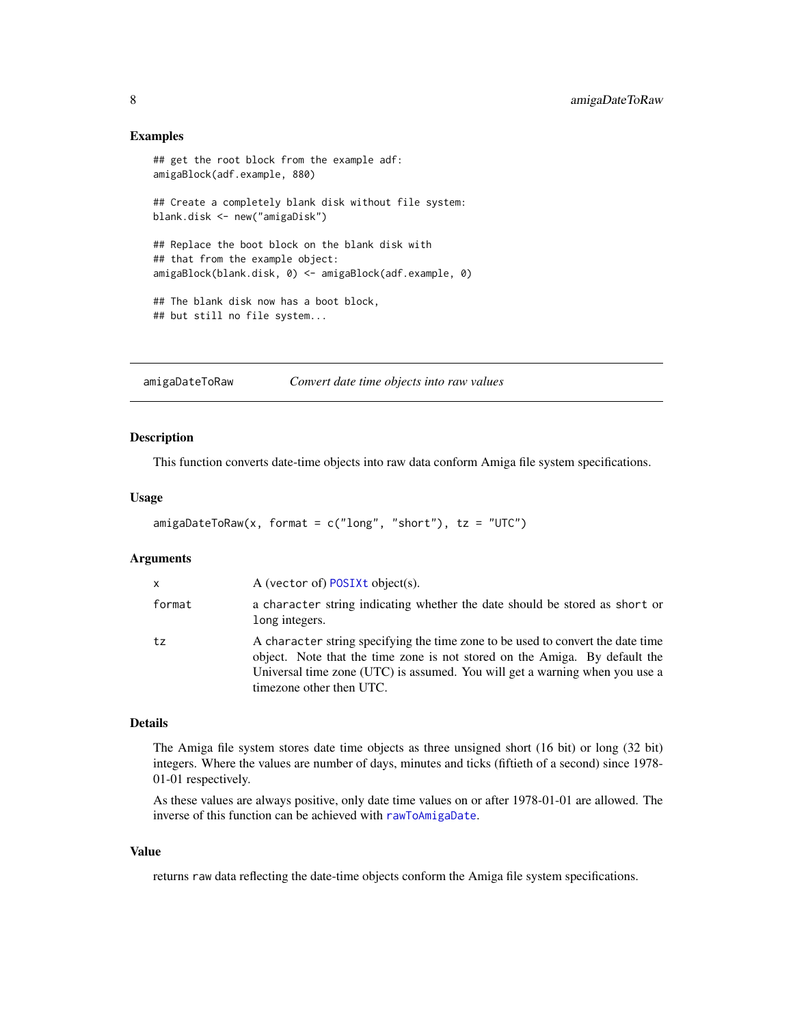# <span id="page-7-0"></span>Examples

```
## get the root block from the example adf:
amigaBlock(adf.example, 880)
## Create a completely blank disk without file system:
blank.disk <- new("amigaDisk")
## Replace the boot block on the blank disk with
## that from the example object:
amigaBlock(blank.disk, 0) <- amigaBlock(adf.example, 0)
## The blank disk now has a boot block,
## but still no file system...
```
<span id="page-7-1"></span>amigaDateToRaw *Convert date time objects into raw values*

# Description

This function converts date-time objects into raw data conform Amiga file system specifications.

# Usage

```
amigabateToRaw(x, format = c("long", "short"), tz = "UTC")
```
## Arguments

| X      | A (vector of) POSIXt object(s).                                                                                                                                                                                                                                          |
|--------|--------------------------------------------------------------------------------------------------------------------------------------------------------------------------------------------------------------------------------------------------------------------------|
| format | a character string indicating whether the date should be stored as short or<br>long integers.                                                                                                                                                                            |
| tz     | A character string specifying the time zone to be used to convert the date time<br>object. Note that the time zone is not stored on the Amiga. By default the<br>Universal time zone (UTC) is assumed. You will get a warning when you use a<br>timezone other then UTC. |

#### Details

The Amiga file system stores date time objects as three unsigned short (16 bit) or long (32 bit) integers. Where the values are number of days, minutes and ticks (fiftieth of a second) since 1978- 01-01 respectively.

As these values are always positive, only date time values on or after 1978-01-01 are allowed. The inverse of this function can be achieved with [rawToAmigaDate](#page-25-1).

# Value

returns raw data reflecting the date-time objects conform the Amiga file system specifications.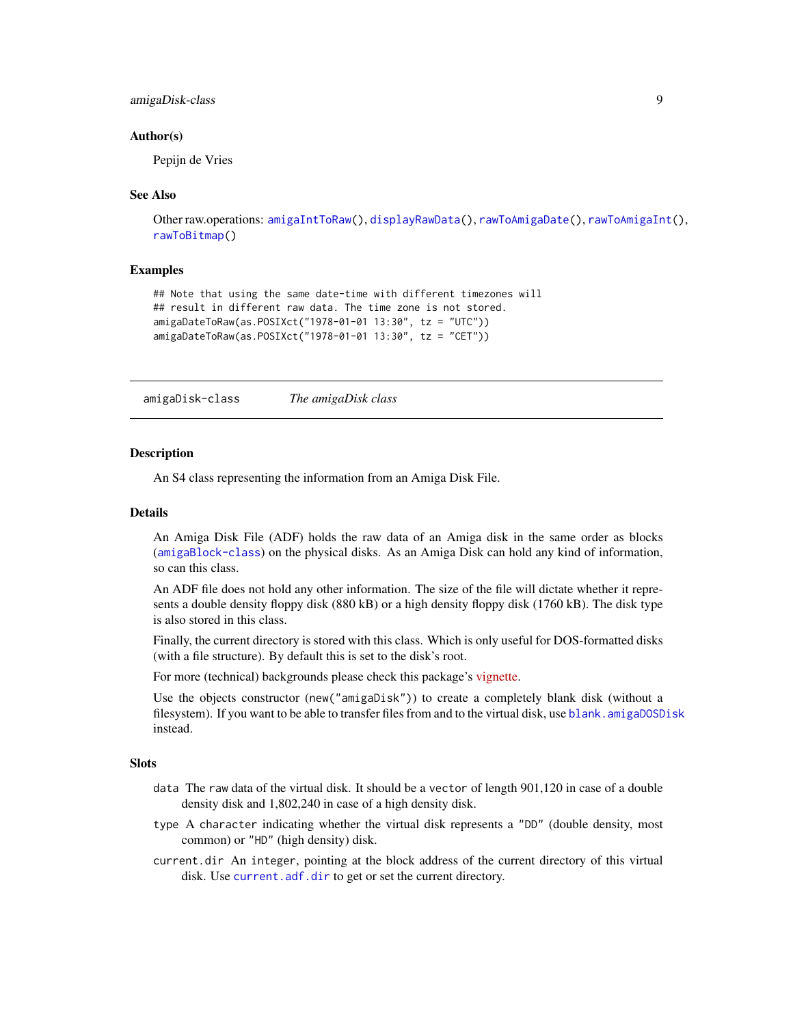# <span id="page-8-0"></span>amigaDisk-class 9

# Author(s)

Pepijn de Vries

# See Also

```
Other raw.operations: amigaIntToRaw(), displayRawData(), rawToAmigaDate(), rawToAmigaInt(),
rawToBitmap()
```
## Examples

```
## Note that using the same date-time with different timezones will
## result in different raw data. The time zone is not stored.
amigaDateToRaw(as.POSIXct("1978-01-01 13:30", tz = "UTC"))
amigaDateToRaw(as.POSIXct("1978-01-01 13:30", tz = "CET"))
```
<span id="page-8-2"></span>amigaDisk-class *The amigaDisk class*

#### <span id="page-8-1"></span>Description

An S4 class representing the information from an Amiga Disk File.

#### Details

An Amiga Disk File (ADF) holds the raw data of an Amiga disk in the same order as blocks ([amigaBlock-class](#page-5-2)) on the physical disks. As an Amiga Disk can hold any kind of information, so can this class.

An ADF file does not hold any other information. The size of the file will dictate whether it represents a double density floppy disk (880 kB) or a high density floppy disk (1760 kB). The disk type is also stored in this class.

Finally, the current directory is stored with this class. Which is only useful for DOS-formatted disks (with a file structure). By default this is set to the disk's root.

For more (technical) backgrounds please check this package's [vignette.](../doc/amigaDiskFiles.html)

Use the objects constructor (new("amigaDisk")) to create a completely blank disk (without a filesystem). If you want to be able to transfer files from and to the virtual disk, use blank, amigaDOSDisk instead.

# **Slots**

- data The raw data of the virtual disk. It should be a vector of length 901,120 in case of a double density disk and 1,802,240 in case of a high density disk.
- type A character indicating whether the virtual disk represents a "DD" (double density, most common) or "HD" (high density) disk.
- current.dir An integer, pointing at the block address of the current directory of this virtual disk. Use [current.adf.dir](#page-13-1) to get or set the current directory.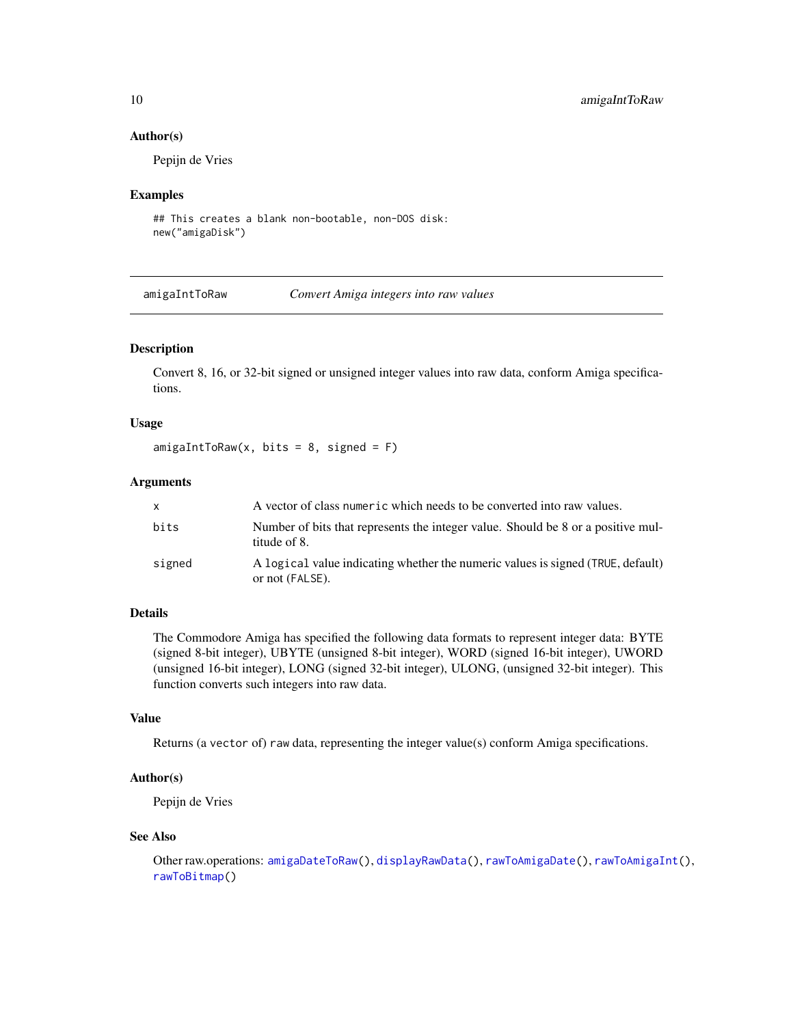# Author(s)

Pepijn de Vries

## Examples

```
## This creates a blank non-bootable, non-DOS disk:
new("amigaDisk")
```
<span id="page-9-1"></span>amigaIntToRaw *Convert Amiga integers into raw values*

# Description

Convert 8, 16, or 32-bit signed or unsigned integer values into raw data, conform Amiga specifications.

# Usage

 $amigalntToRaw(x, bits = 8, signed = F)$ 

#### Arguments

| $\mathsf{x}$ | A vector of class numeric which needs to be converted into raw values.                             |
|--------------|----------------------------------------------------------------------------------------------------|
| bits         | Number of bits that represents the integer value. Should be 8 or a positive mul-<br>titude of 8.   |
| signed       | A logical value indicating whether the numeric values is signed (TRUE, default)<br>or not (FALSE). |

# Details

The Commodore Amiga has specified the following data formats to represent integer data: BYTE (signed 8-bit integer), UBYTE (unsigned 8-bit integer), WORD (signed 16-bit integer), UWORD (unsigned 16-bit integer), LONG (signed 32-bit integer), ULONG, (unsigned 32-bit integer). This function converts such integers into raw data.

# Value

Returns (a vector of) raw data, representing the integer value(s) conform Amiga specifications.

# Author(s)

Pepijn de Vries

# See Also

```
Other raw.operations: amigaDateToRaw(), displayRawData(), rawToAmigaDate(), rawToAmigaInt(),
rawToBitmap()
```
<span id="page-9-0"></span>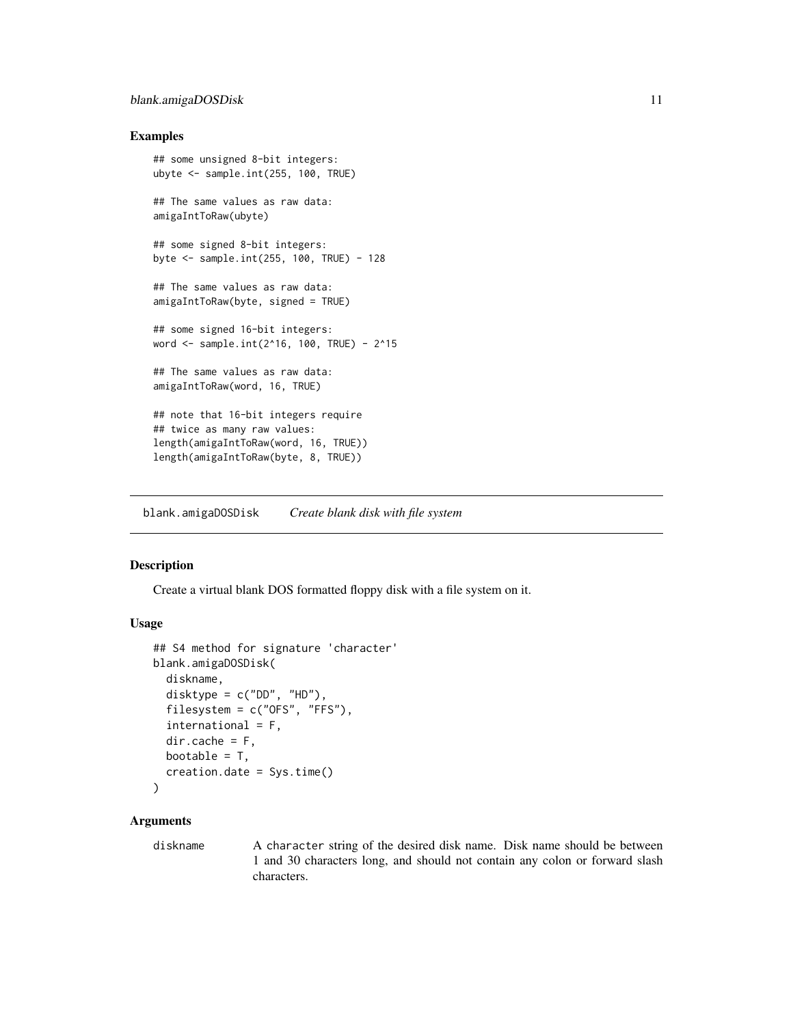# <span id="page-10-0"></span>blank.amigaDOSDisk 11

# Examples

```
## some unsigned 8-bit integers:
ubyte <- sample.int(255, 100, TRUE)
## The same values as raw data:
amigaIntToRaw(ubyte)
## some signed 8-bit integers:
byte <- sample.int(255, 100, TRUE) - 128
## The same values as raw data:
amigaIntToRaw(byte, signed = TRUE)
## some signed 16-bit integers:
word <- sample.int(2^16, 100, TRUE) - 2^15
## The same values as raw data:
amigaIntToRaw(word, 16, TRUE)
## note that 16-bit integers require
## twice as many raw values:
length(amigaIntToRaw(word, 16, TRUE))
length(amigaIntToRaw(byte, 8, TRUE))
```
<span id="page-10-1"></span>blank.amigaDOSDisk *Create blank disk with file system*

# Description

Create a virtual blank DOS formatted floppy disk with a file system on it.

#### Usage

```
## S4 method for signature 'character'
blank.amigaDOSDisk(
  diskname,
  disktype = c("DD", "HD"),
  filesystem = c("OFS", "FFS"),
  international = F,
  dir.cache = F,
  bootable = T,
  creation.date = Sys.time()
)
```
# **Arguments**

diskname A character string of the desired disk name. Disk name should be between 1 and 30 characters long, and should not contain any colon or forward slash characters.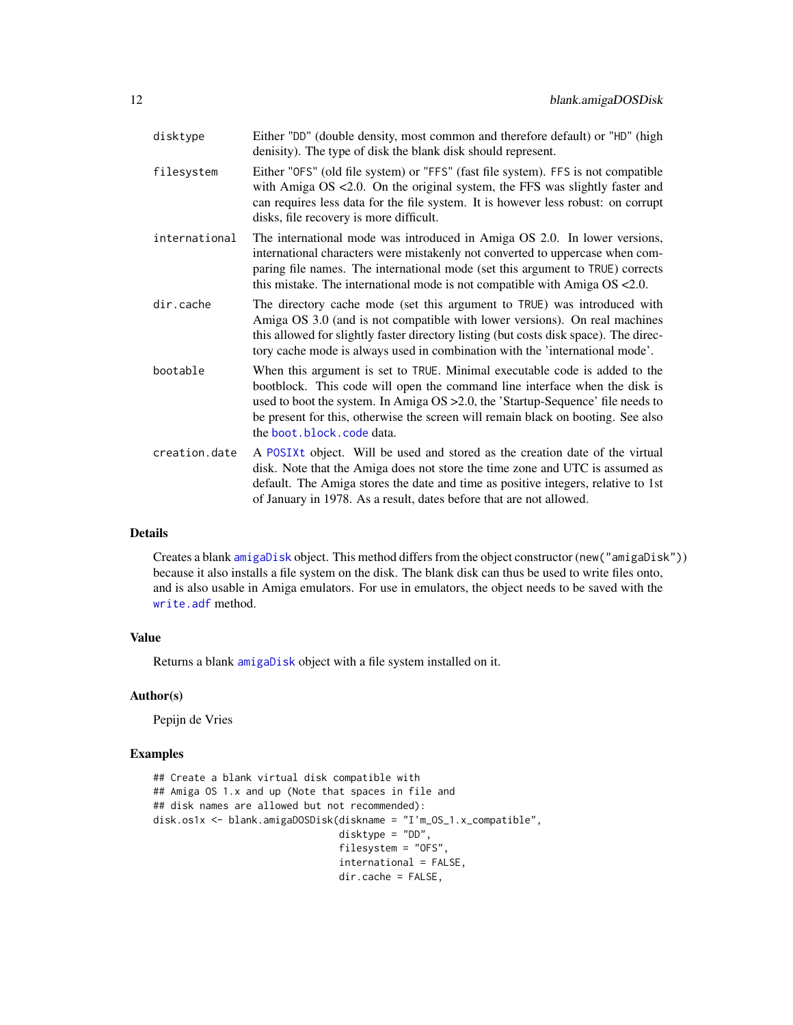<span id="page-11-0"></span>

| disktype      | Either "DD" (double density, most common and therefore default) or "HD" (high<br>denisity). The type of disk the blank disk should represent.                                                                                                                                                                                                                 |
|---------------|---------------------------------------------------------------------------------------------------------------------------------------------------------------------------------------------------------------------------------------------------------------------------------------------------------------------------------------------------------------|
| filesystem    | Either "OFS" (old file system) or "FFS" (fast file system). FFS is not compatible<br>with Amiga $OS < 2.0$ . On the original system, the FFS was slightly faster and<br>can requires less data for the file system. It is however less robust: on corrupt<br>disks, file recovery is more difficult.                                                          |
| international | The international mode was introduced in Amiga OS 2.0. In lower versions,<br>international characters were mistakenly not converted to uppercase when com-<br>paring file names. The international mode (set this argument to TRUE) corrects<br>this mistake. The international mode is not compatible with Amiga $OS < 2.0$ .                                |
| dir.cache     | The directory cache mode (set this argument to TRUE) was introduced with<br>Amiga OS 3.0 (and is not compatible with lower versions). On real machines<br>this allowed for slightly faster directory listing (but costs disk space). The direc-<br>tory cache mode is always used in combination with the 'international mode'.                               |
| bootable      | When this argument is set to TRUE. Minimal executable code is added to the<br>bootblock. This code will open the command line interface when the disk is<br>used to boot the system. In Amiga OS > 2.0, the 'Startup-Sequence' file needs to<br>be present for this, otherwise the screen will remain black on booting. See also<br>the boot.block.code data. |
| creation.date | A POSIXt object. Will be used and stored as the creation date of the virtual<br>disk. Note that the Amiga does not store the time zone and UTC is assumed as<br>default. The Amiga stores the date and time as positive integers, relative to 1st<br>of January in 1978. As a result, dates before that are not allowed.                                      |

# Details

Creates a blank [amigaDisk](#page-8-1) object. This method differs from the object constructor (new("amigaDisk")) because it also installs a file system on the disk. The blank disk can thus be used to write files onto, and is also usable in Amiga emulators. For use in emulators, the object needs to be saved with the [write.adf](#page-31-1) method.

# Value

Returns a blank [amigaDisk](#page-8-1) object with a file system installed on it.

#### Author(s)

Pepijn de Vries

# Examples

```
## Create a blank virtual disk compatible with
## Amiga OS 1.x and up (Note that spaces in file and
## disk names are allowed but not recommended):
disk.os1x <- blank.amigaDOSDisk(diskname = "I'm_OS_1.x_compatible",
                                disktype = "DD",
                                filesystem = "OFS",
                                international = FALSE,
                                dir.cache = FALSE,
```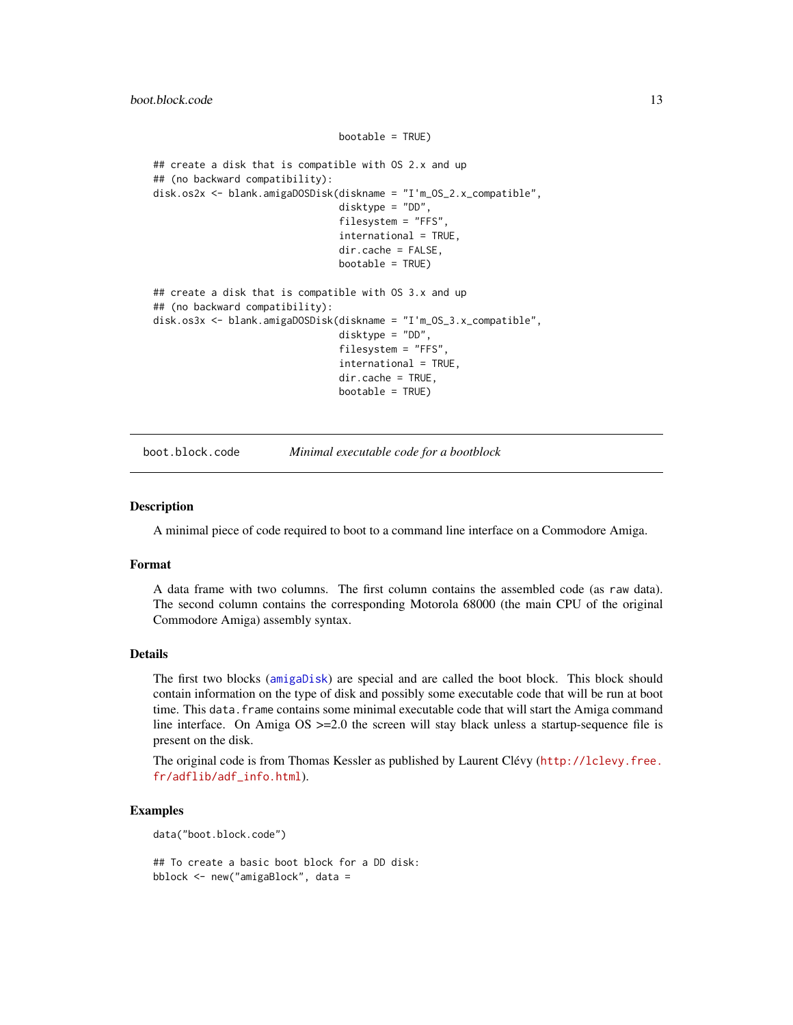```
## create a disk that is compatible with OS 2.x and up
## (no backward compatibility):
disk.os2x <- blank.amigaDOSDisk(diskname = "I'm_OS_2.x_compatible",
                                disktype = "DD",
                                filesystem = "FFS",
                                international = TRUE,
                                dir.cache = FALSE,
                                bootable = TRUE)
## create a disk that is compatible with OS 3.x and up
## (no backward compatibility):
disk.os3x <- blank.amigaDOSDisk(diskname = "I'm_OS_3.x_compatible",
                                disktype = "DD",
                                filesystem = "FFS"
                                international = TRUE,
                                dir.cache = TRUE,
                                bootable = TRUE)
```
bootable = TRUE)

<span id="page-12-1"></span>boot.block.code *Minimal executable code for a bootblock*

#### Description

A minimal piece of code required to boot to a command line interface on a Commodore Amiga.

#### Format

A data frame with two columns. The first column contains the assembled code (as raw data). The second column contains the corresponding Motorola 68000 (the main CPU of the original Commodore Amiga) assembly syntax.

# Details

The first two blocks ([amigaDisk](#page-8-1)) are special and are called the boot block. This block should contain information on the type of disk and possibly some executable code that will be run at boot time. This data. frame contains some minimal executable code that will start the Amiga command line interface. On Amiga  $OS = 2.0$  the screen will stay black unless a startup-sequence file is present on the disk.

The original code is from Thomas Kessler as published by Laurent Clévy ([http://lclevy.free.](http://lclevy.free.fr/adflib/adf_info.html) [fr/adflib/adf\\_info.html](http://lclevy.free.fr/adflib/adf_info.html)).

#### Examples

data("boot.block.code")

## To create a basic boot block for a DD disk: bblock <- new("amigaBlock", data =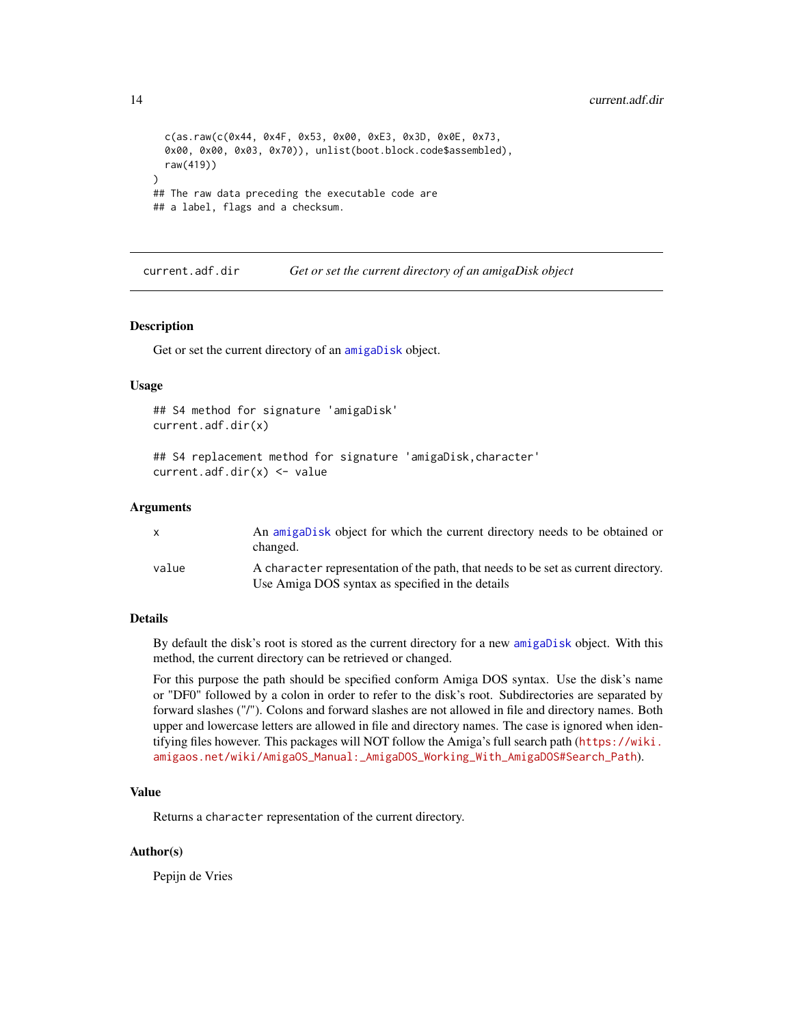```
c(as.raw(c(0x44, 0x4F, 0x53, 0x00, 0xE3, 0x3D, 0x0E, 0x73,
 0x00, 0x00, 0x03, 0x70)), unlist(boot.block.code$assembled),
 raw(419))
)
## The raw data preceding the executable code are
## a label, flags and a checksum.
```
<span id="page-13-1"></span>current.adf.dir *Get or set the current directory of an amigaDisk object*

#### Description

Get or set the current directory of an [amigaDisk](#page-8-1) object.

#### Usage

```
## S4 method for signature 'amigaDisk'
current.adf.dir(x)
```

```
## S4 replacement method for signature 'amigaDisk,character'
current.adf.dir(x) <- value
```
#### Arguments

|       | An amigabisk object for which the current directory needs to be obtained or<br>changed.                                                |
|-------|----------------------------------------------------------------------------------------------------------------------------------------|
| value | A character representation of the path, that needs to be set as current directory.<br>Use Amiga DOS syntax as specified in the details |

# Details

By default the disk's root is stored as the current directory for a new [amigaDisk](#page-8-1) object. With this method, the current directory can be retrieved or changed.

For this purpose the path should be specified conform Amiga DOS syntax. Use the disk's name or "DF0" followed by a colon in order to refer to the disk's root. Subdirectories are separated by forward slashes ("/"). Colons and forward slashes are not allowed in file and directory names. Both upper and lowercase letters are allowed in file and directory names. The case is ignored when identifying files however. This packages will NOT follow the Amiga's full search path ([https://wiki.](https://wiki.amigaos.net/wiki/AmigaOS_Manual:_AmigaDOS_Working_With_AmigaDOS#Search_Path) [amigaos.net/wiki/AmigaOS\\_Manual:\\_AmigaDOS\\_Working\\_With\\_AmigaDOS#Search\\_Path](https://wiki.amigaos.net/wiki/AmigaOS_Manual:_AmigaDOS_Working_With_AmigaDOS#Search_Path)).

# Value

Returns a character representation of the current directory.

# Author(s)

Pepijn de Vries

<span id="page-13-0"></span>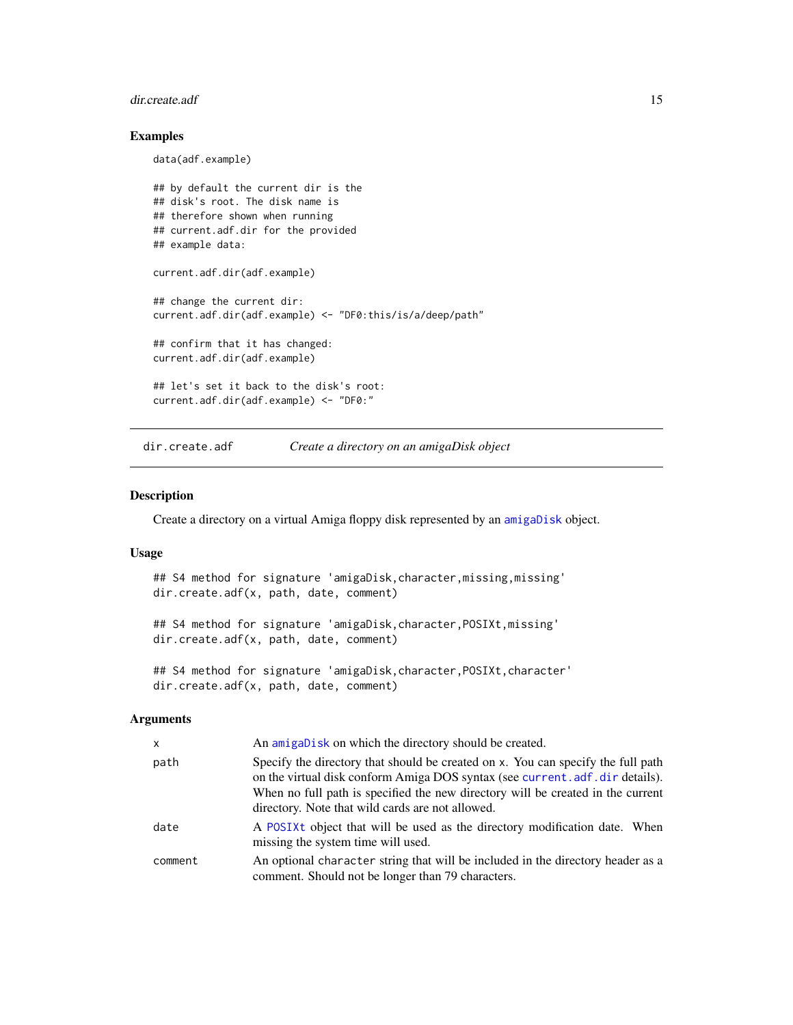#### <span id="page-14-0"></span>dir.create.adf 15

# Examples

data(adf.example)

```
## by default the current dir is the
## disk's root. The disk name is
## therefore shown when running
## current.adf.dir for the provided
## example data:
current.adf.dir(adf.example)
## change the current dir:
current.adf.dir(adf.example) <- "DF0:this/is/a/deep/path"
## confirm that it has changed:
current.adf.dir(adf.example)
## let's set it back to the disk's root:
current.adf.dir(adf.example) <- "DF0:"
```
dir.create.adf *Create a directory on an amigaDisk object*

#### Description

Create a directory on a virtual Amiga floppy disk represented by an [amigaDisk](#page-8-1) object.

#### Usage

```
## S4 method for signature 'amigaDisk, character, missing, missing'
dir.create.adf(x, path, date, comment)
```
## S4 method for signature 'amigaDisk,character,POSIXt,missing' dir.create.adf(x, path, date, comment)

## S4 method for signature 'amigaDisk, character, POSIXt, character' dir.create.adf(x, path, date, comment)

# Arguments

| x       | An amigaDisk on which the directory should be created.                                                                                                                                                                                                                                                   |
|---------|----------------------------------------------------------------------------------------------------------------------------------------------------------------------------------------------------------------------------------------------------------------------------------------------------------|
| path    | Specify the directory that should be created on x. You can specify the full path<br>on the virtual disk conform Amiga DOS syntax (see current. adf. dir details).<br>When no full path is specified the new directory will be created in the current<br>directory. Note that wild cards are not allowed. |
| date    | A POSIXt object that will be used as the directory modification date. When<br>missing the system time will used.                                                                                                                                                                                         |
| comment | An optional character string that will be included in the directory header as a<br>comment. Should not be longer than 79 characters.                                                                                                                                                                     |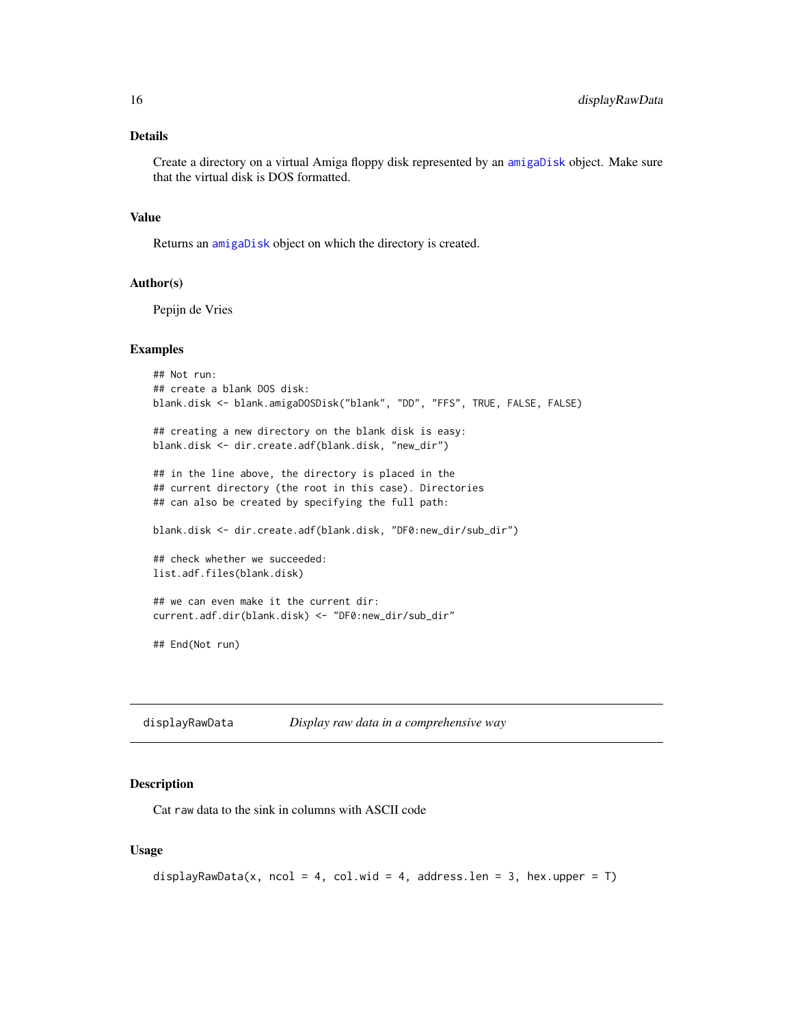# <span id="page-15-0"></span>Details

Create a directory on a virtual Amiga floppy disk represented by an [amigaDisk](#page-8-1) object. Make sure that the virtual disk is DOS formatted.

# Value

Returns an [amigaDisk](#page-8-1) object on which the directory is created.

#### Author(s)

Pepijn de Vries

# Examples

```
## Not run:
## create a blank DOS disk:
blank.disk <- blank.amigaDOSDisk("blank", "DD", "FFS", TRUE, FALSE, FALSE)
## creating a new directory on the blank disk is easy:
blank.disk <- dir.create.adf(blank.disk, "new_dir")
## in the line above, the directory is placed in the
## current directory (the root in this case). Directories
## can also be created by specifying the full path:
blank.disk <- dir.create.adf(blank.disk, "DF0:new_dir/sub_dir")
## check whether we succeeded:
list.adf.files(blank.disk)
## we can even make it the current dir:
current.adf.dir(blank.disk) <- "DF0:new_dir/sub_dir"
## End(Not run)
```
<span id="page-15-1"></span>displayRawData *Display raw data in a comprehensive way*

# Description

Cat raw data to the sink in columns with ASCII code

#### Usage

```
displayRawData(x, ncol = 4, col.wid = 4, address.len = 3, hex.upper = T)
```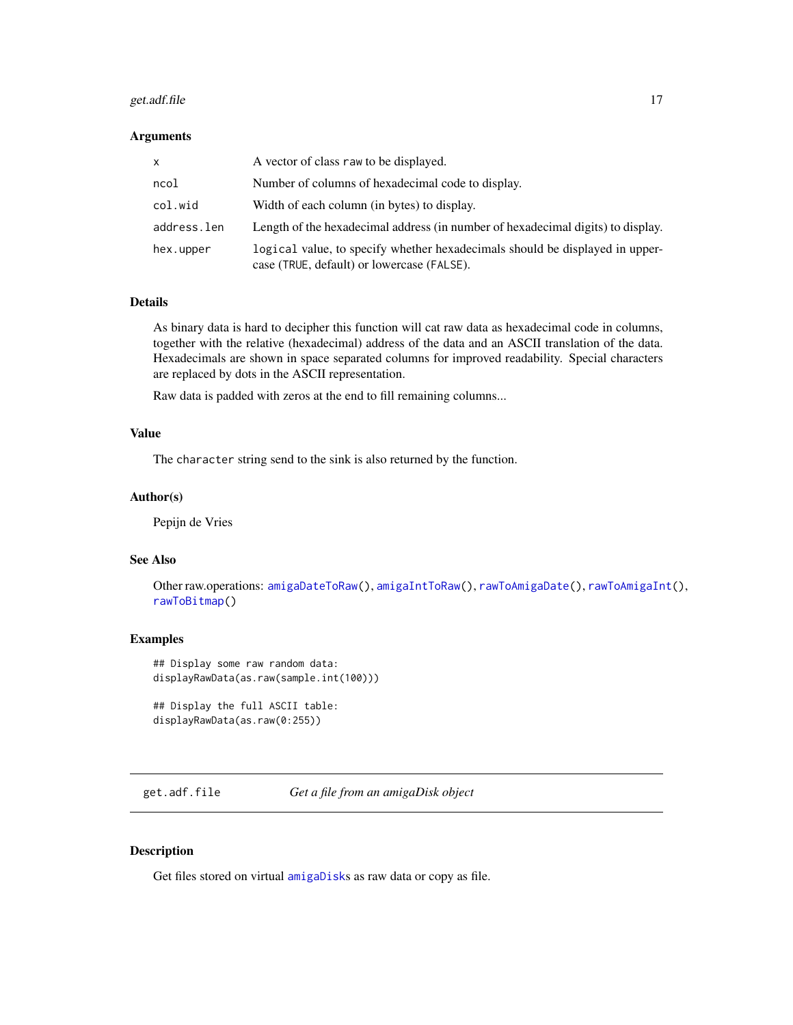#### <span id="page-16-0"></span>get.adf.file 17

#### Arguments

| x           | A vector of class raw to be displayed.                                                                                     |
|-------------|----------------------------------------------------------------------------------------------------------------------------|
| ncol        | Number of columns of hexadecimal code to display.                                                                          |
| col.wid     | Width of each column (in bytes) to display.                                                                                |
| address.len | Length of the hexadecimal address (in number of hexadecimal digits) to display.                                            |
| hex.upper   | logical value, to specify whether hexadecimals should be displayed in upper-<br>case (TRUE, default) or lowercase (FALSE). |

# Details

As binary data is hard to decipher this function will cat raw data as hexadecimal code in columns, together with the relative (hexadecimal) address of the data and an ASCII translation of the data. Hexadecimals are shown in space separated columns for improved readability. Special characters are replaced by dots in the ASCII representation.

Raw data is padded with zeros at the end to fill remaining columns...

# Value

The character string send to the sink is also returned by the function.

#### Author(s)

Pepijn de Vries

# See Also

Other raw.operations: [amigaDateToRaw\(](#page-7-1)), [amigaIntToRaw\(](#page-9-1)), [rawToAmigaDate\(](#page-25-1)), [rawToAmigaInt\(](#page-26-1)), [rawToBitmap\(](#page-28-1))

# Examples

```
## Display some raw random data:
displayRawData(as.raw(sample.int(100)))
```

```
## Display the full ASCII table:
displayRawData(as.raw(0:255))
```
get.adf.file *Get a file from an amigaDisk object*

# Description

Get files stored on virtual [amigaDisk](#page-8-1)s as raw data or copy as file.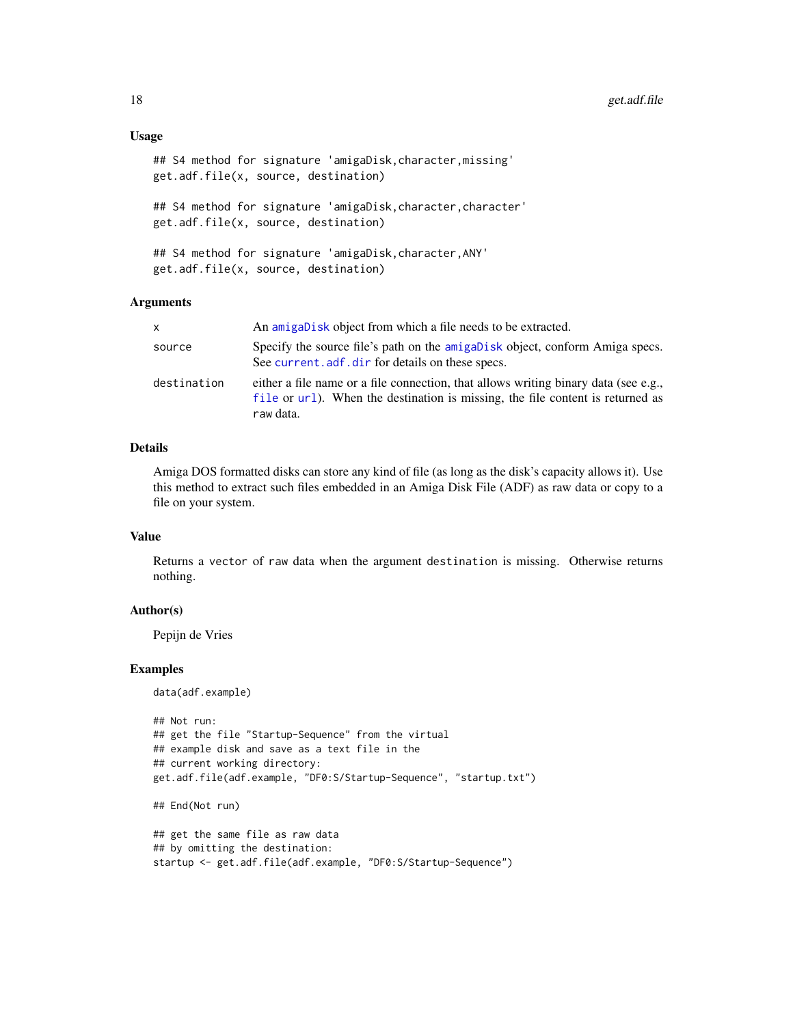#### Usage

```
## S4 method for signature 'amigaDisk, character, missing'
get.adf.file(x, source, destination)
## S4 method for signature 'amigaDisk, character, character'
get.adf.file(x, source, destination)
## S4 method for signature 'amigaDisk,character,ANY'
get.adf.file(x, source, destination)
```
# Arguments

| X           | An amigabisk object from which a file needs to be extracted.                                                                                                                       |
|-------------|------------------------------------------------------------------------------------------------------------------------------------------------------------------------------------|
| source      | Specify the source file's path on the amigabisk object, conform Amiga specs.<br>See current. adf. dir for details on these specs.                                                  |
| destination | either a file name or a file connection, that allows writing binary data (see e.g.,<br>file or url). When the destination is missing, the file content is returned as<br>raw data. |

# Details

Amiga DOS formatted disks can store any kind of file (as long as the disk's capacity allows it). Use this method to extract such files embedded in an Amiga Disk File (ADF) as raw data or copy to a file on your system.

#### Value

Returns a vector of raw data when the argument destination is missing. Otherwise returns nothing.

# Author(s)

Pepijn de Vries

#### Examples

data(adf.example)

```
## Not run:
## get the file "Startup-Sequence" from the virtual
## example disk and save as a text file in the
## current working directory:
get.adf.file(adf.example, "DF0:S/Startup-Sequence", "startup.txt")
## End(Not run)
## get the same file as raw data
## by omitting the destination:
startup <- get.adf.file(adf.example, "DF0:S/Startup-Sequence")
```
<span id="page-17-0"></span>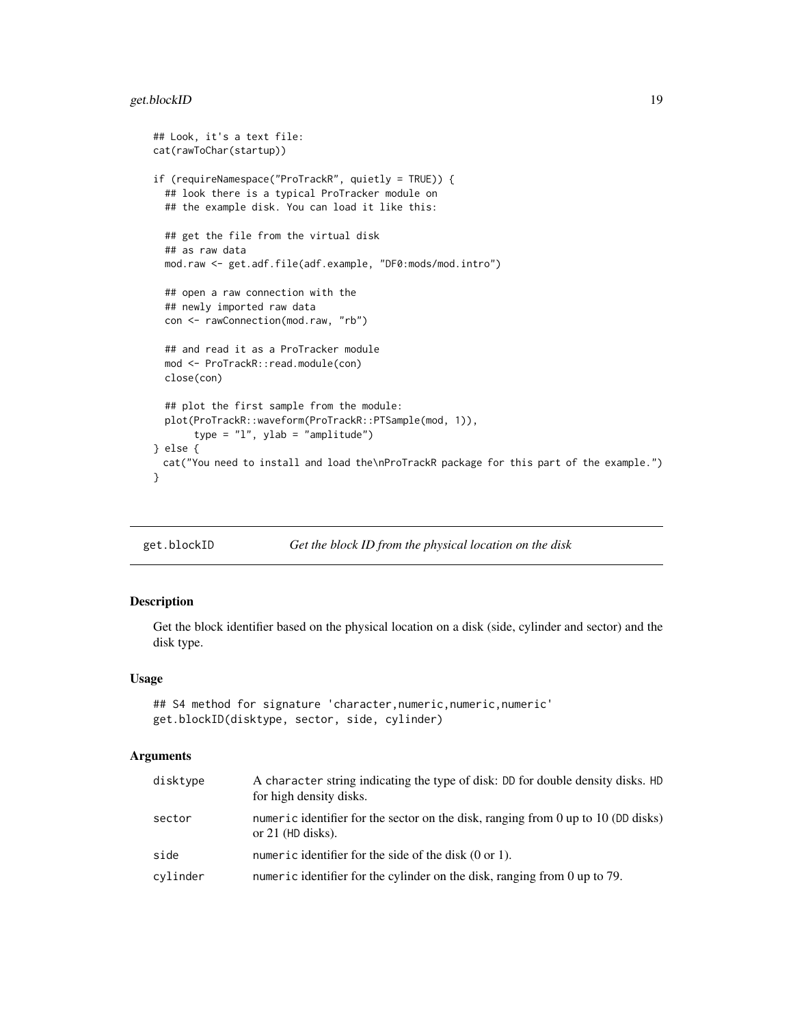# <span id="page-18-0"></span>get.blockID 19

```
## Look, it's a text file:
cat(rawToChar(startup))
if (requireNamespace("ProTrackR", quietly = TRUE)) {
 ## look there is a typical ProTracker module on
 ## the example disk. You can load it like this:
 ## get the file from the virtual disk
 ## as raw data
 mod.raw <- get.adf.file(adf.example, "DF0:mods/mod.intro")
 ## open a raw connection with the
 ## newly imported raw data
 con <- rawConnection(mod.raw, "rb")
 ## and read it as a ProTracker module
 mod <- ProTrackR::read.module(con)
 close(con)
 ## plot the first sample from the module:
 plot(ProTrackR::waveform(ProTrackR::PTSample(mod, 1)),
      type = "1", ylab = "amplitude")
} else {
 cat("You need to install and load the\nProTrackR package for this part of the example.")
}
```
<span id="page-18-1"></span>get.blockID *Get the block ID from the physical location on the disk*

# Description

Get the block identifier based on the physical location on a disk (side, cylinder and sector) and the disk type.

# Usage

```
## S4 method for signature 'character, numeric, numeric, numeric'
get.blockID(disktype, sector, side, cylinder)
```
# Arguments

| for high density disks.                                                                                            |  |
|--------------------------------------------------------------------------------------------------------------------|--|
| numeric identifier for the sector on the disk, ranging from 0 up to 10 (DD disks)<br>sector<br>or $21$ (HD disks). |  |
| side<br>numeric identifier for the side of the disk $(0 \text{ or } 1)$ .                                          |  |
| numeric identifier for the cylinder on the disk, ranging from 0 up to $79$ .<br>cylinder                           |  |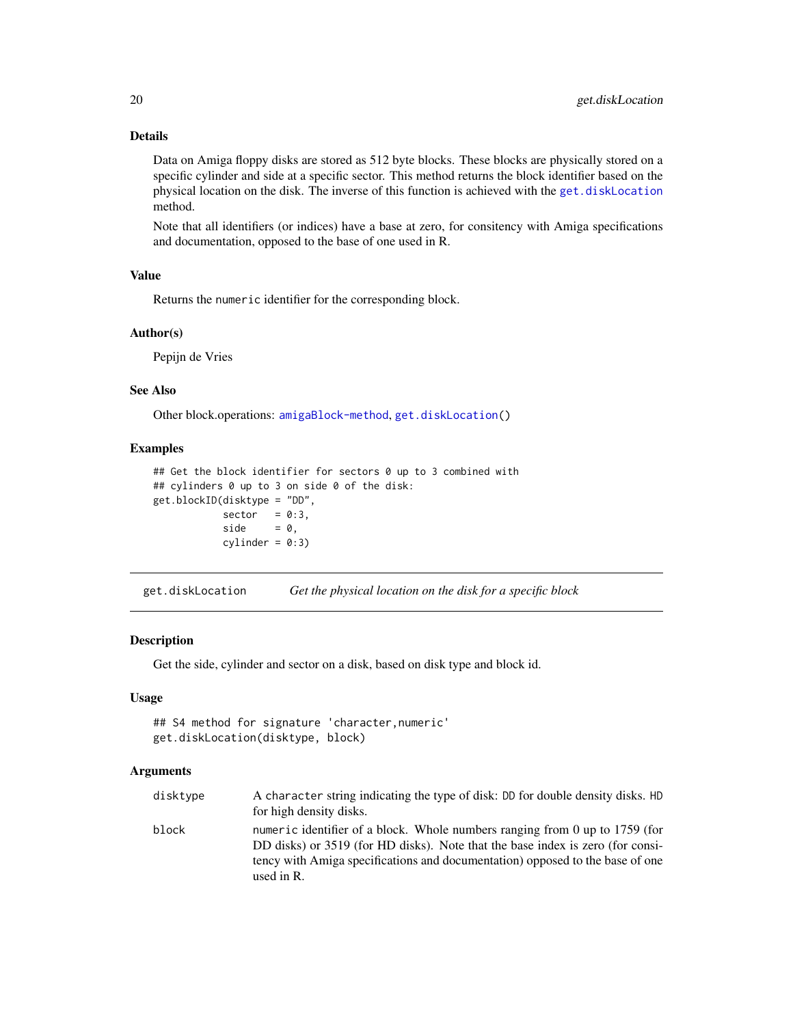# Details

Data on Amiga floppy disks are stored as 512 byte blocks. These blocks are physically stored on a specific cylinder and side at a specific sector. This method returns the block identifier based on the physical location on the disk. The inverse of this function is achieved with the [get.diskLocation](#page-19-1) method.

Note that all identifiers (or indices) have a base at zero, for consitency with Amiga specifications and documentation, opposed to the base of one used in R.

#### Value

Returns the numeric identifier for the corresponding block.

#### Author(s)

Pepijn de Vries

# See Also

Other block.operations: [amigaBlock-method](#page-6-1), [get.diskLocation\(](#page-19-1))

# Examples

```
## Get the block identifier for sectors 0 up to 3 combined with
## cylinders 0 up to 3 on side 0 of the disk:
get.blockID(disktype = "DD",
           sector = 0:3,side = 0,cylinder = 0:3
```
<span id="page-19-1"></span>get.diskLocation *Get the physical location on the disk for a specific block*

# Description

Get the side, cylinder and sector on a disk, based on disk type and block id.

# Usage

```
## S4 method for signature 'character,numeric'
get.diskLocation(disktype, block)
```
#### Arguments

| disktype | A character string indicating the type of disk: DD for double density disks. HD<br>for high density disks.                                                                                                                                                     |
|----------|----------------------------------------------------------------------------------------------------------------------------------------------------------------------------------------------------------------------------------------------------------------|
| block    | numeric identifier of a block. Whole numbers ranging from 0 up to $1759$ (for<br>DD disks) or 3519 (for HD disks). Note that the base index is zero (for consi-<br>tency with Amiga specifications and documentation) opposed to the base of one<br>used in R. |

<span id="page-19-0"></span>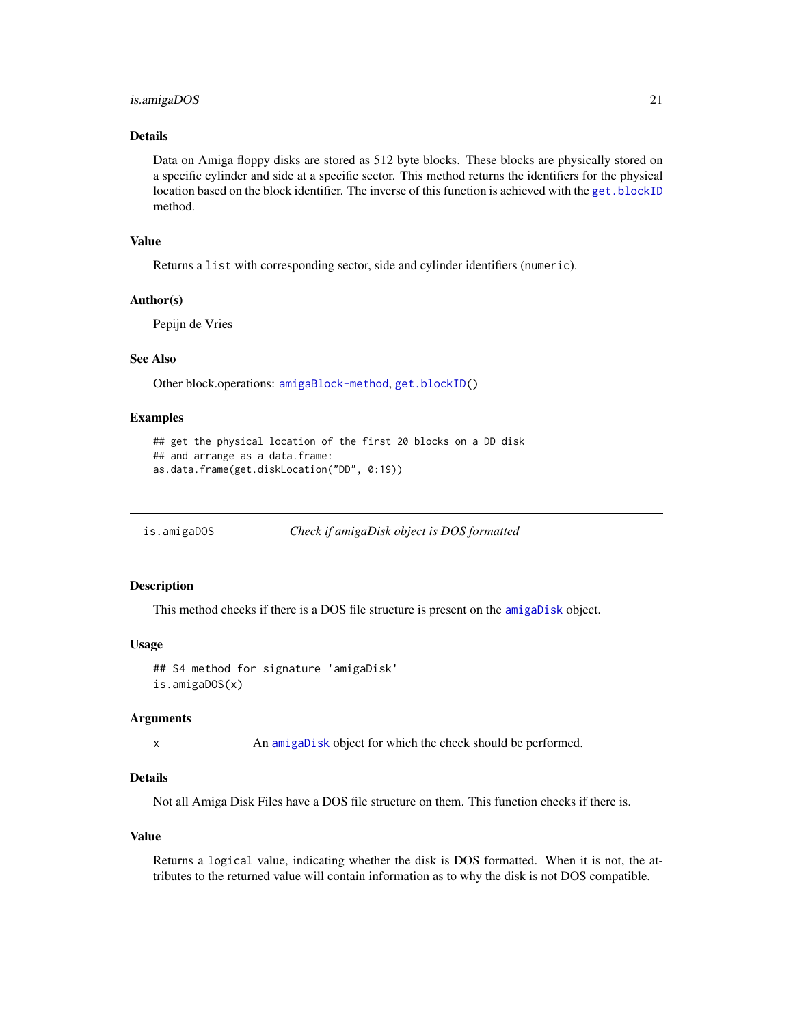# <span id="page-20-0"></span>is.amigaDOS 21

# Details

Data on Amiga floppy disks are stored as 512 byte blocks. These blocks are physically stored on a specific cylinder and side at a specific sector. This method returns the identifiers for the physical location based on the block identifier. The inverse of this function is achieved with the [get.blockID](#page-18-1) method.

# Value

Returns a list with corresponding sector, side and cylinder identifiers (numeric).

#### Author(s)

Pepijn de Vries

# See Also

Other block.operations: [amigaBlock-method](#page-6-1), [get.blockID\(](#page-18-1))

# Examples

```
## get the physical location of the first 20 blocks on a DD disk
## and arrange as a data.frame:
as.data.frame(get.diskLocation("DD", 0:19))
```
<span id="page-20-1"></span>is.amigaDOS *Check if amigaDisk object is DOS formatted*

# Description

This method checks if there is a DOS file structure is present on the [amigaDisk](#page-8-1) object.

#### Usage

```
## S4 method for signature 'amigaDisk'
is.amigaDOS(x)
```
# Arguments

x An [amigaDisk](#page-8-1) object for which the check should be performed.

# Details

Not all Amiga Disk Files have a DOS file structure on them. This function checks if there is.

#### Value

Returns a logical value, indicating whether the disk is DOS formatted. When it is not, the attributes to the returned value will contain information as to why the disk is not DOS compatible.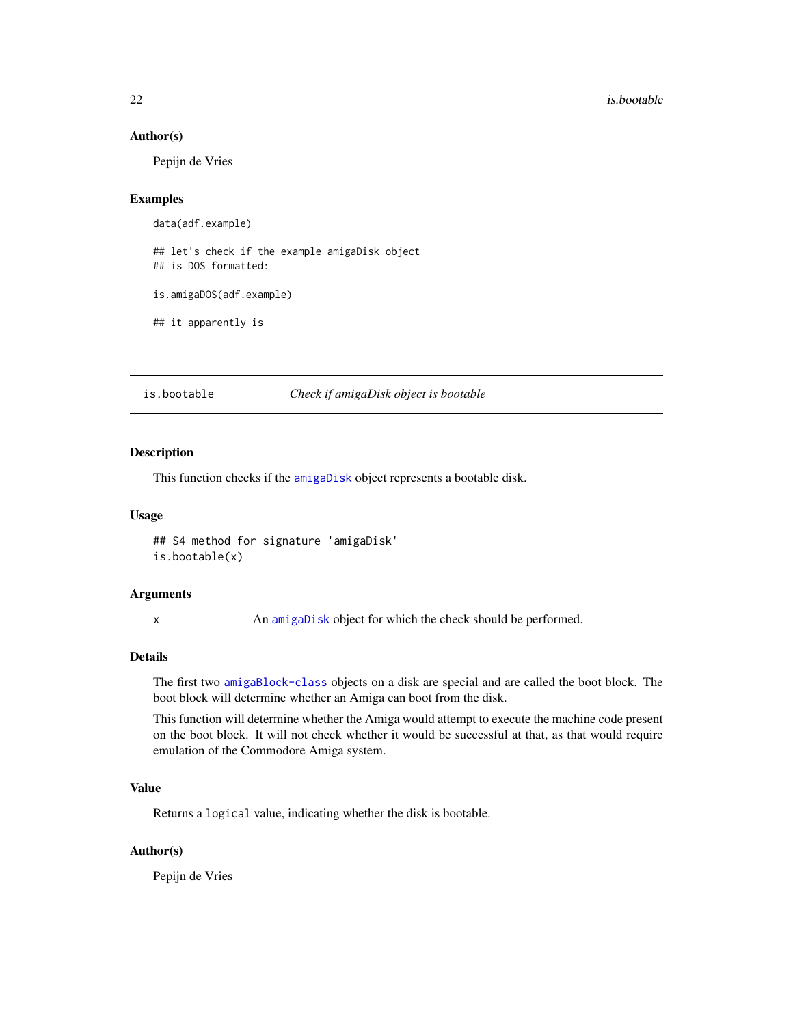#### Author(s)

Pepijn de Vries

# Examples

```
data(adf.example)
## let's check if the example amigaDisk object
## is DOS formatted:
```
is.amigaDOS(adf.example)

## it apparently is

is.bootable *Check if amigaDisk object is bootable*

#### Description

This function checks if the [amigaDisk](#page-8-1) object represents a bootable disk.

#### Usage

## S4 method for signature 'amigaDisk' is.bootable(x)

#### Arguments

x An [amigaDisk](#page-8-1) object for which the check should be performed.

# Details

The first two [amigaBlock-class](#page-5-2) objects on a disk are special and are called the boot block. The boot block will determine whether an Amiga can boot from the disk.

This function will determine whether the Amiga would attempt to execute the machine code present on the boot block. It will not check whether it would be successful at that, as that would require emulation of the Commodore Amiga system.

# Value

Returns a logical value, indicating whether the disk is bootable.

# Author(s)

Pepijn de Vries

<span id="page-21-0"></span>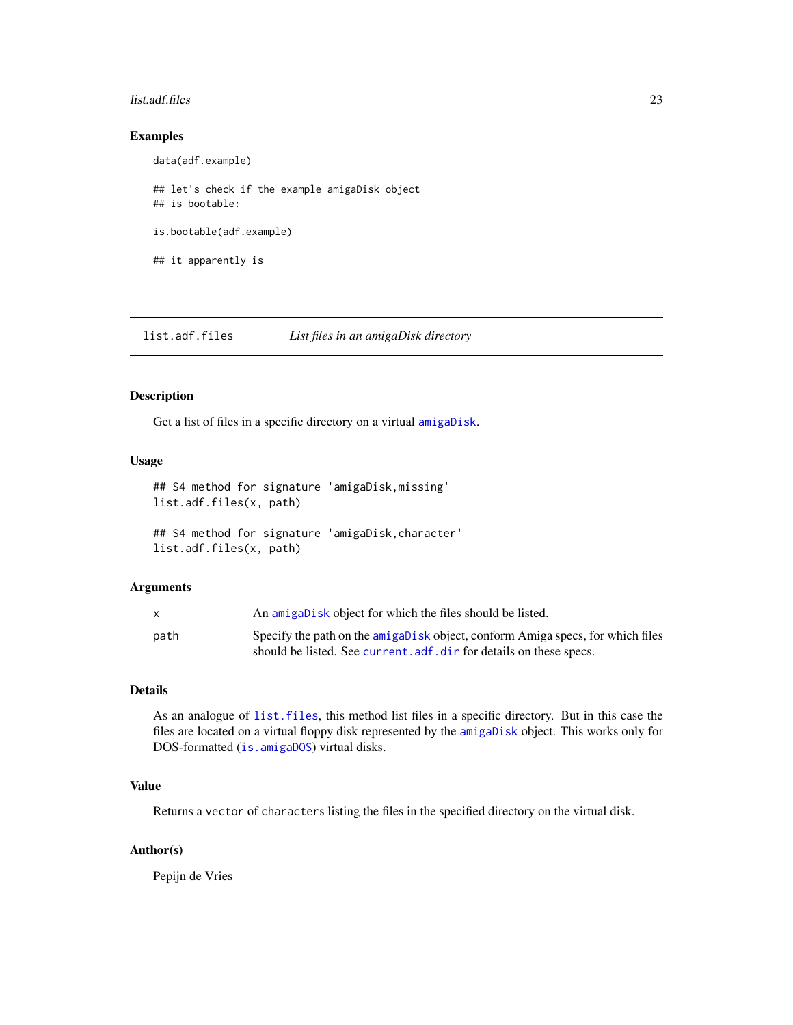#### <span id="page-22-0"></span>list.adf.files 23

# Examples

data(adf.example) ## let's check if the example amigaDisk object ## is bootable: is.bootable(adf.example) ## it apparently is

list.adf.files *List files in an amigaDisk directory*

#### Description

Get a list of files in a specific directory on a virtual [amigaDisk](#page-8-1).

# Usage

## S4 method for signature 'amigaDisk,missing' list.adf.files(x, path)

## S4 method for signature 'amigaDisk,character' list.adf.files(x, path)

# Arguments

|      | An amigabisk object for which the files should be listed.                      |
|------|--------------------------------------------------------------------------------|
| path | Specify the path on the amigabisk object, conform Amiga specs, for which files |
|      | should be listed. See current. adf. dir for details on these specs.            |

# Details

As an analogue of [list.files](#page-0-0), this method list files in a specific directory. But in this case the files are located on a virtual floppy disk represented by the [amigaDisk](#page-8-1) object. This works only for DOS-formatted ([is.amigaDOS](#page-20-1)) virtual disks.

# Value

Returns a vector of characters listing the files in the specified directory on the virtual disk.

# Author(s)

Pepijn de Vries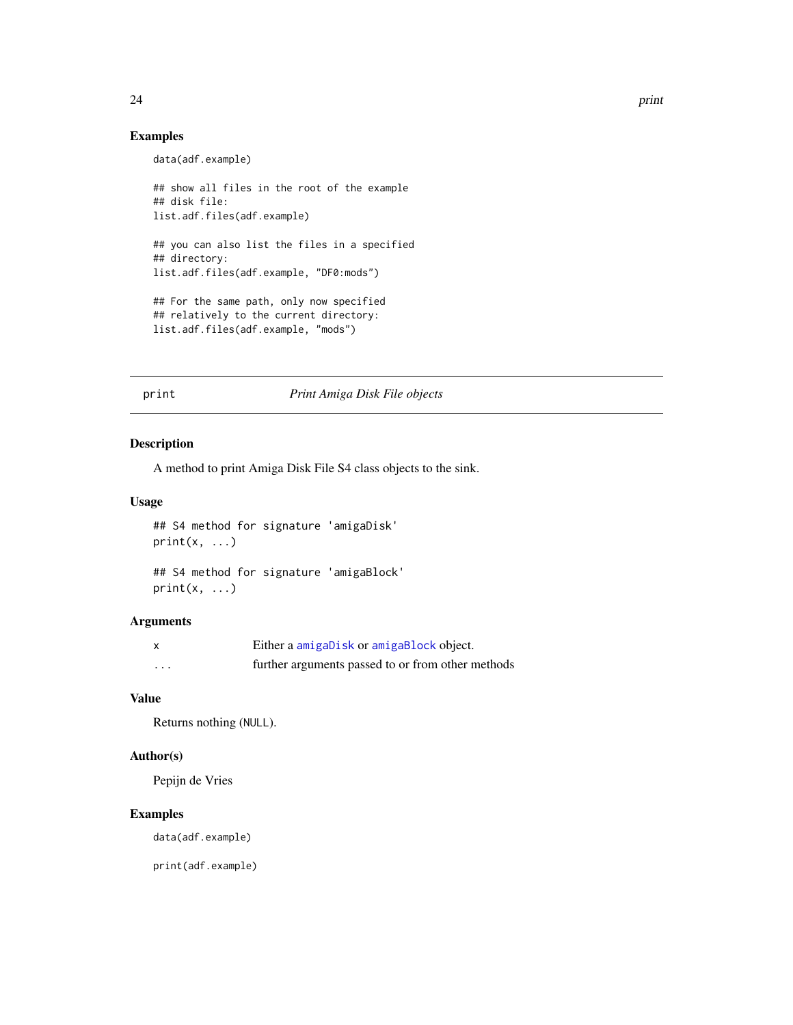# Examples

```
data(adf.example)
```

```
## show all files in the root of the example
## disk file:
list.adf.files(adf.example)
## you can also list the files in a specified
## directory:
list.adf.files(adf.example, "DF0:mods")
## For the same path, only now specified
## relatively to the current directory:
list.adf.files(adf.example, "mods")
```
# print *Print Amiga Disk File objects*

# Description

A method to print Amiga Disk File S4 class objects to the sink.

#### Usage

```
## S4 method for signature 'amigaDisk'
print(x, \ldots)
```

```
## S4 method for signature 'amigaBlock'
print(x, \ldots)
```
#### Arguments

| X        | Either a amigaDisk or amigaBlock object.          |
|----------|---------------------------------------------------|
| $\cdots$ | further arguments passed to or from other methods |

# Value

Returns nothing (NULL).

# Author(s)

Pepijn de Vries

# Examples

data(adf.example)

print(adf.example)

<span id="page-23-0"></span>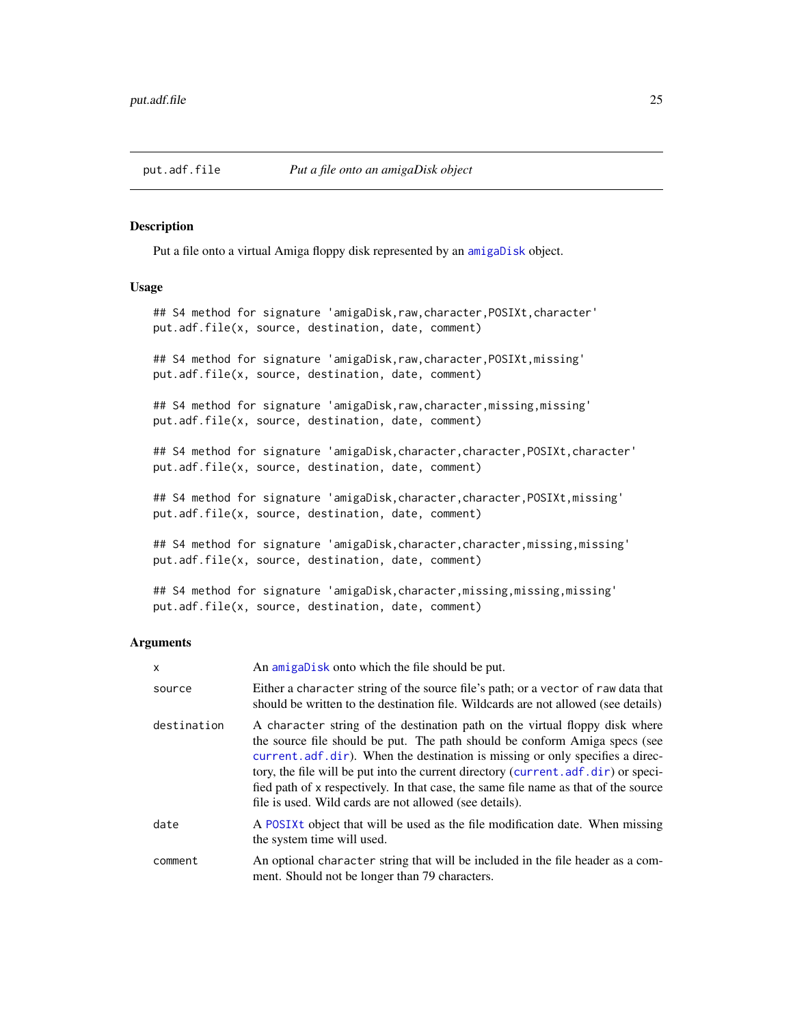<span id="page-24-0"></span>

# Description

Put a file onto a virtual Amiga floppy disk represented by an [amigaDisk](#page-8-1) object.

#### Usage

## S4 method for signature 'amigaDisk, raw, character, POSIXt, character' put.adf.file(x, source, destination, date, comment)

## S4 method for signature 'amigaDisk, raw, character, POSIXt, missing' put.adf.file(x, source, destination, date, comment)

## S4 method for signature 'amigaDisk, raw, character, missing, missing' put.adf.file(x, source, destination, date, comment)

## S4 method for signature 'amigaDisk, character, character, POSIXt, character' put.adf.file(x, source, destination, date, comment)

## S4 method for signature 'amigaDisk,character,character,POSIXt,missing' put.adf.file(x, source, destination, date, comment)

## S4 method for signature 'amigaDisk,character,character,missing,missing' put.adf.file(x, source, destination, date, comment)

## S4 method for signature 'amigaDisk,character,missing,missing,missing' put.adf.file(x, source, destination, date, comment)

#### **Arguments**

| x           | An amigabisk onto which the file should be put.                                                                                                                                                                                                                                                                                                                                                                                                                                       |
|-------------|---------------------------------------------------------------------------------------------------------------------------------------------------------------------------------------------------------------------------------------------------------------------------------------------------------------------------------------------------------------------------------------------------------------------------------------------------------------------------------------|
| source      | Either a character string of the source file's path; or a vector of raw data that<br>should be written to the destination file. Wildcards are not allowed (see details)                                                                                                                                                                                                                                                                                                               |
| destination | A character string of the destination path on the virtual floppy disk where<br>the source file should be put. The path should be conform Amiga specs (see<br>current, adf, dir). When the destination is missing or only specifies a direc-<br>tory, the file will be put into the current directory (current . adf. dir) or speci-<br>fied path of x respectively. In that case, the same file name as that of the source<br>file is used. Wild cards are not allowed (see details). |
| date        | A POSIXt object that will be used as the file modification date. When missing<br>the system time will used.                                                                                                                                                                                                                                                                                                                                                                           |
| comment     | An optional character string that will be included in the file header as a com-<br>ment. Should not be longer than 79 characters.                                                                                                                                                                                                                                                                                                                                                     |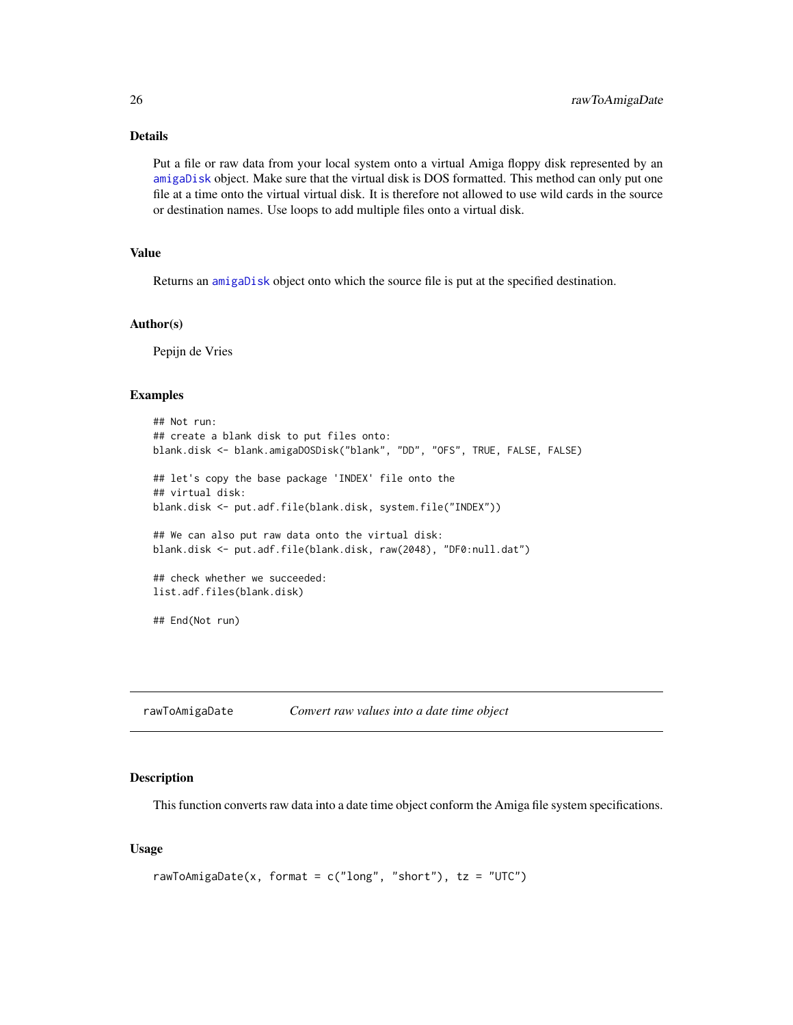# <span id="page-25-0"></span>Details

Put a file or raw data from your local system onto a virtual Amiga floppy disk represented by an [amigaDisk](#page-8-1) object. Make sure that the virtual disk is DOS formatted. This method can only put one file at a time onto the virtual virtual disk. It is therefore not allowed to use wild cards in the source or destination names. Use loops to add multiple files onto a virtual disk.

# Value

Returns an [amigaDisk](#page-8-1) object onto which the source file is put at the specified destination.

#### Author(s)

Pepijn de Vries

#### Examples

```
## Not run:
## create a blank disk to put files onto:
blank.disk <- blank.amigaDOSDisk("blank", "DD", "OFS", TRUE, FALSE, FALSE)
## let's copy the base package 'INDEX' file onto the
## virtual disk:
blank.disk <- put.adf.file(blank.disk, system.file("INDEX"))
## We can also put raw data onto the virtual disk:
blank.disk <- put.adf.file(blank.disk, raw(2048), "DF0:null.dat")
## check whether we succeeded:
list.adf.files(blank.disk)
## End(Not run)
```
<span id="page-25-1"></span>rawToAmigaDate *Convert raw values into a date time object*

#### **Description**

This function converts raw data into a date time object conform the Amiga file system specifications.

# Usage

```
rawToAmigaDate(x, format = c("long", "short"), tz = "UTC")
```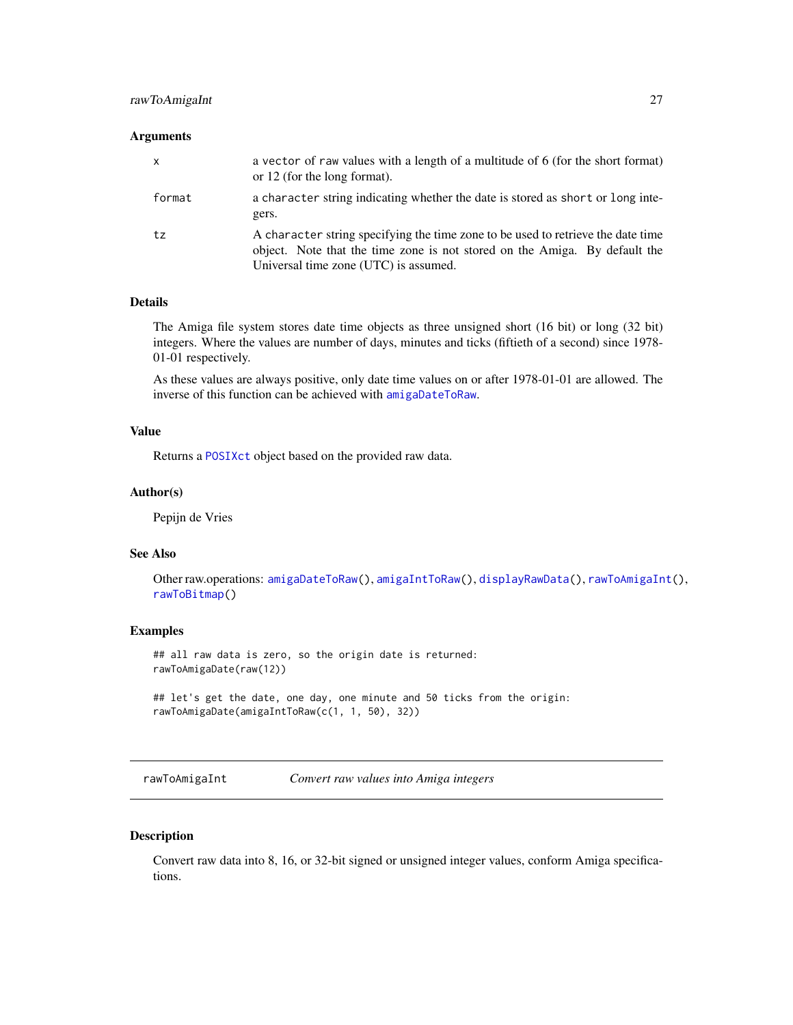# <span id="page-26-0"></span>rawToAmigaInt 27

#### **Arguments**

| $\mathsf{x}$ | a vector of raw values with a length of a multitude of 6 (for the short format)<br>or 12 (for the long format).                                                                                         |
|--------------|---------------------------------------------------------------------------------------------------------------------------------------------------------------------------------------------------------|
| format       | a character string indicating whether the date is stored as short or long inte-<br>gers.                                                                                                                |
| tz           | A character string specifying the time zone to be used to retrieve the date time<br>object. Note that the time zone is not stored on the Amiga. By default the<br>Universal time zone (UTC) is assumed. |

# Details

The Amiga file system stores date time objects as three unsigned short (16 bit) or long (32 bit) integers. Where the values are number of days, minutes and ticks (fiftieth of a second) since 1978- 01-01 respectively.

As these values are always positive, only date time values on or after 1978-01-01 are allowed. The inverse of this function can be achieved with [amigaDateToRaw](#page-7-1).

# Value

Returns a [POSIXct](#page-0-0) object based on the provided raw data.

# Author(s)

Pepijn de Vries

# See Also

Other raw.operations: [amigaDateToRaw\(](#page-7-1)), [amigaIntToRaw\(](#page-9-1)), [displayRawData\(](#page-15-1)), [rawToAmigaInt\(](#page-26-1)), [rawToBitmap\(](#page-28-1))

#### Examples

## all raw data is zero, so the origin date is returned: rawToAmigaDate(raw(12))

```
## let's get the date, one day, one minute and 50 ticks from the origin:
rawToAmigaDate(amigaIntToRaw(c(1, 1, 50), 32))
```
<span id="page-26-1"></span>rawToAmigaInt *Convert raw values into Amiga integers*

# Description

Convert raw data into 8, 16, or 32-bit signed or unsigned integer values, conform Amiga specifications.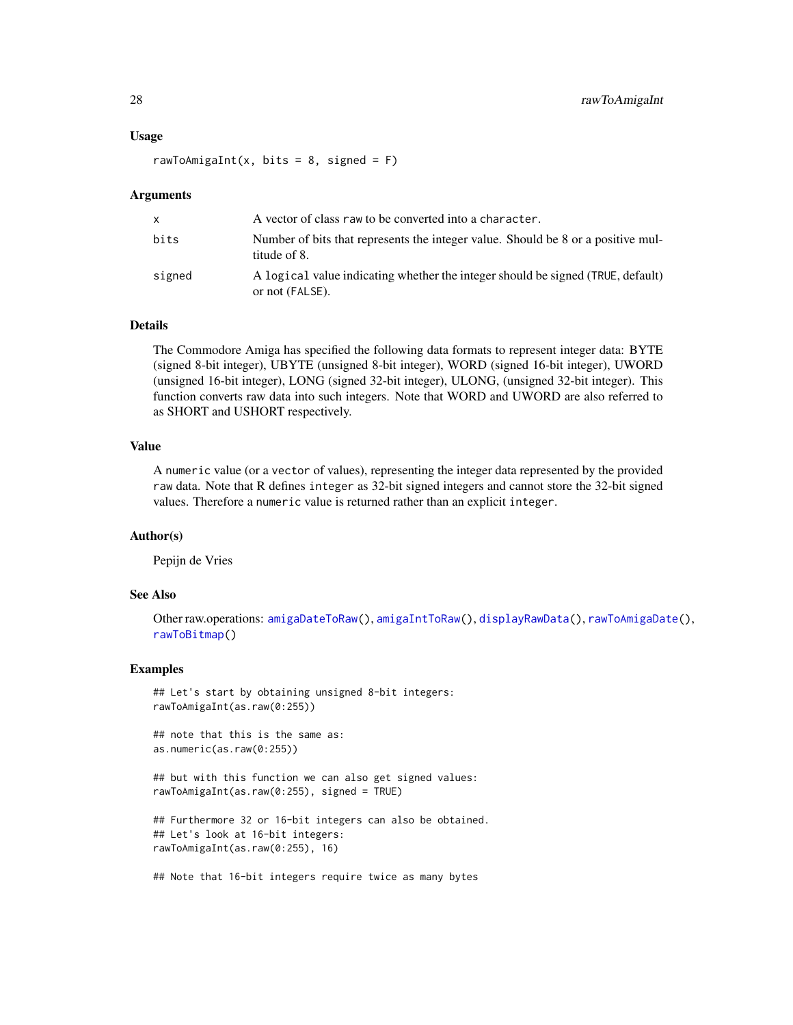#### <span id="page-27-0"></span>Usage

rawToAmigaInt(x, bits = 8, signed =  $F$ )

#### Arguments

| x.     | A vector of class raw to be converted into a character.                                            |
|--------|----------------------------------------------------------------------------------------------------|
| bits   | Number of bits that represents the integer value. Should be 8 or a positive mul-<br>titude of 8.   |
| signed | A logical value indicating whether the integer should be signed (TRUE, default)<br>or not (FALSE). |

# Details

The Commodore Amiga has specified the following data formats to represent integer data: BYTE (signed 8-bit integer), UBYTE (unsigned 8-bit integer), WORD (signed 16-bit integer), UWORD (unsigned 16-bit integer), LONG (signed 32-bit integer), ULONG, (unsigned 32-bit integer). This function converts raw data into such integers. Note that WORD and UWORD are also referred to as SHORT and USHORT respectively.

# Value

A numeric value (or a vector of values), representing the integer data represented by the provided raw data. Note that R defines integer as 32-bit signed integers and cannot store the 32-bit signed values. Therefore a numeric value is returned rather than an explicit integer.

# Author(s)

Pepijn de Vries

# See Also

```
Other raw.operations: amigaDateToRaw(), amigaIntToRaw(), displayRawData(), rawToAmigaDate(),
rawToBitmap()
```
# Examples

```
## Let's start by obtaining unsigned 8-bit integers:
rawToAmigaInt(as.raw(0:255))
```
## note that this is the same as: as.numeric(as.raw(0:255))

## but with this function we can also get signed values: rawToAmigaInt(as.raw(0:255), signed = TRUE)

```
## Furthermore 32 or 16-bit integers can also be obtained.
## Let's look at 16-bit integers:
rawToAmigaInt(as.raw(0:255), 16)
```

```
## Note that 16-bit integers require twice as many bytes
```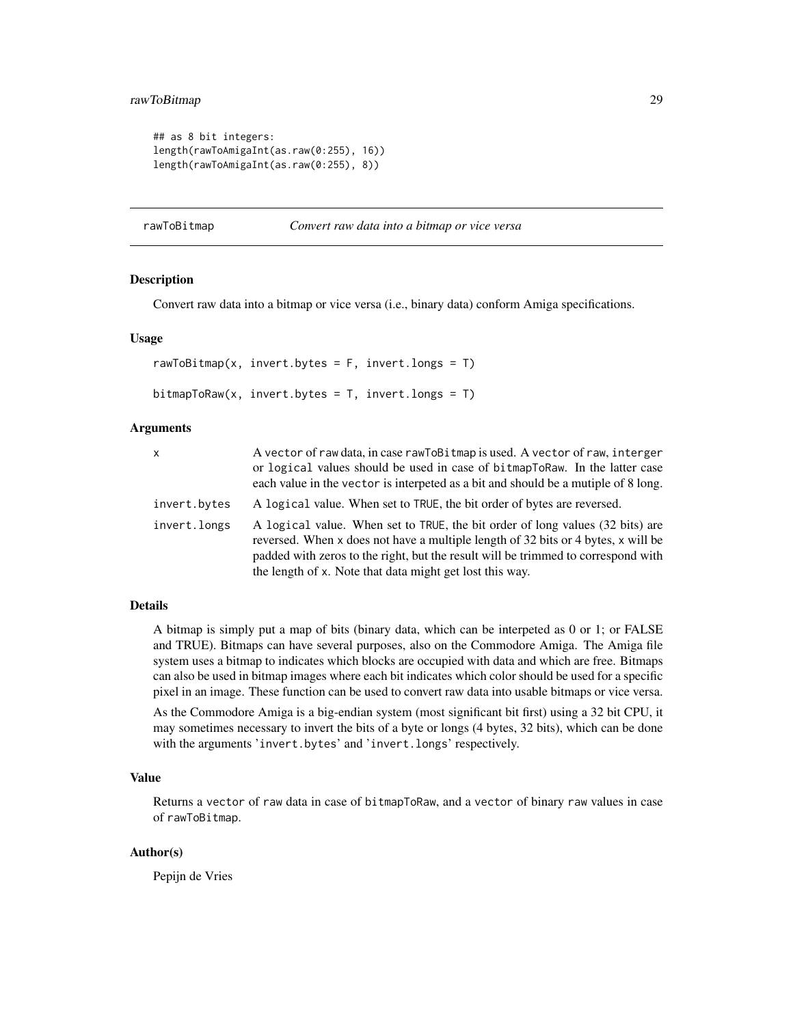# <span id="page-28-0"></span>rawToBitmap 29

```
## as 8 bit integers:
length(rawToAmigaInt(as.raw(0:255), 16))
length(rawToAmigaInt(as.raw(0:255), 8))
```
#### <span id="page-28-1"></span>rawToBitmap *Convert raw data into a bitmap or vice versa*

# Description

Convert raw data into a bitmap or vice versa (i.e., binary data) conform Amiga specifications.

# Usage

rawToBitmap(x, invert.bytes =  $F$ , invert.longs =  $T$ ) bitmapToRaw(x, invert.bytes = T, invert.longs = T)

#### Arguments

| X            | A vector of raw data, in case rawToBitmap is used. A vector of raw, interger                                                                                                                                                                                                                                        |
|--------------|---------------------------------------------------------------------------------------------------------------------------------------------------------------------------------------------------------------------------------------------------------------------------------------------------------------------|
|              | or logical values should be used in case of bitmapToRaw. In the latter case                                                                                                                                                                                                                                         |
|              | each value in the vector is interpeted as a bit and should be a mutiple of 8 long.                                                                                                                                                                                                                                  |
| invert.bytes | A logical value. When set to TRUE, the bit order of bytes are reversed.                                                                                                                                                                                                                                             |
| invert.longs | A logical value. When set to TRUE, the bit order of long values (32 bits) are<br>reversed. When x does not have a multiple length of 32 bits or 4 bytes, x will be<br>padded with zeros to the right, but the result will be trimmed to correspond with<br>the length of x. Note that data might get lost this way. |

# Details

A bitmap is simply put a map of bits (binary data, which can be interpeted as 0 or 1; or FALSE and TRUE). Bitmaps can have several purposes, also on the Commodore Amiga. The Amiga file system uses a bitmap to indicates which blocks are occupied with data and which are free. Bitmaps can also be used in bitmap images where each bit indicates which color should be used for a specific pixel in an image. These function can be used to convert raw data into usable bitmaps or vice versa.

As the Commodore Amiga is a big-endian system (most significant bit first) using a 32 bit CPU, it may sometimes necessary to invert the bits of a byte or longs (4 bytes, 32 bits), which can be done with the arguments 'invert.bytes' and 'invert.longs' respectively.

#### Value

Returns a vector of raw data in case of bitmapToRaw, and a vector of binary raw values in case of rawToBitmap.

# Author(s)

Pepijn de Vries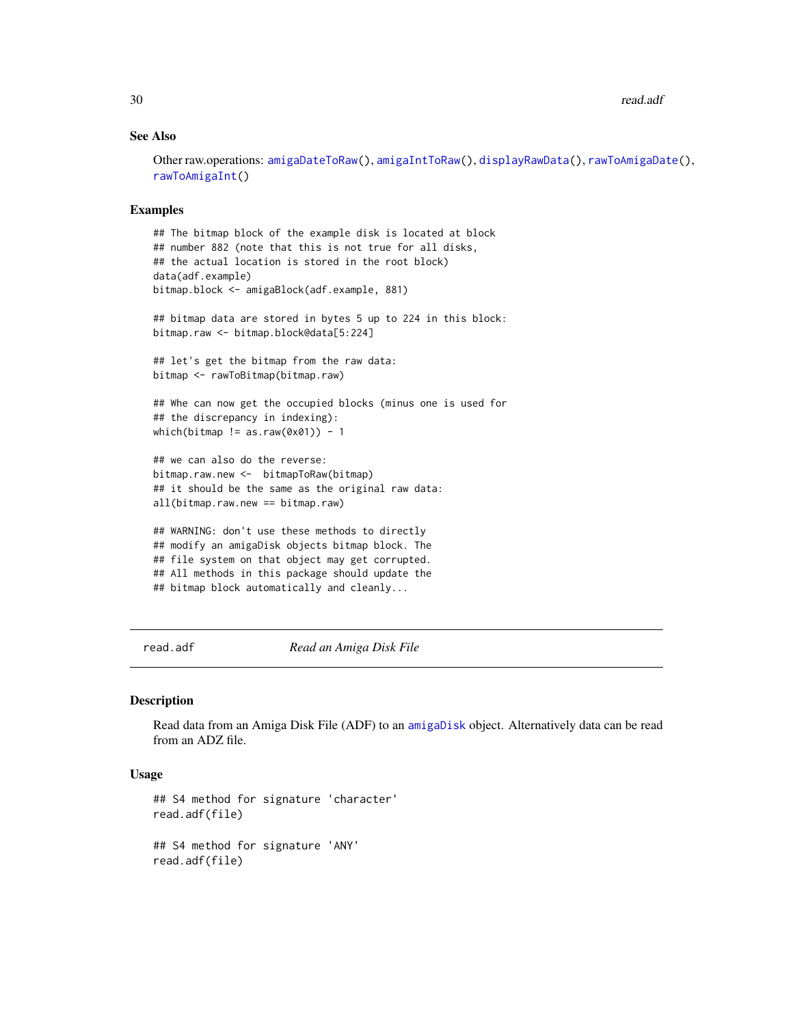# <span id="page-29-0"></span>See Also

Other raw.operations: [amigaDateToRaw\(](#page-7-1)), [amigaIntToRaw\(](#page-9-1)), [displayRawData\(](#page-15-1)), [rawToAmigaDate\(](#page-25-1)), [rawToAmigaInt\(](#page-26-1))

# Examples

```
## The bitmap block of the example disk is located at block
## number 882 (note that this is not true for all disks,
## the actual location is stored in the root block)
data(adf.example)
bitmap.block <- amigaBlock(adf.example, 881)
## bitmap data are stored in bytes 5 up to 224 in this block:
bitmap.raw <- bitmap.block@data[5:224]
## let's get the bitmap from the raw data:
bitmap <- rawToBitmap(bitmap.raw)
## Whe can now get the occupied blocks (minus one is used for
## the discrepancy in indexing):
which(bitmap != as.raw(0x01)) - 1
## we can also do the reverse:
bitmap.raw.new <- bitmapToRaw(bitmap)
## it should be the same as the original raw data:
all(bitmap.raw.new == bitmap.raw)
## WARNING: don't use these methods to directly
## modify an amigaDisk objects bitmap block. The
## file system on that object may get corrupted.
## All methods in this package should update the
## bitmap block automatically and cleanly...
```
<span id="page-29-1"></span>read.adf *Read an Amiga Disk File*

#### Description

Read data from an Amiga Disk File (ADF) to an [amigaDisk](#page-8-1) object. Alternatively data can be read from an ADZ file.

# Usage

```
## S4 method for signature 'character'
read.adf(file)
## S4 method for signature 'ANY'
read.adf(file)
```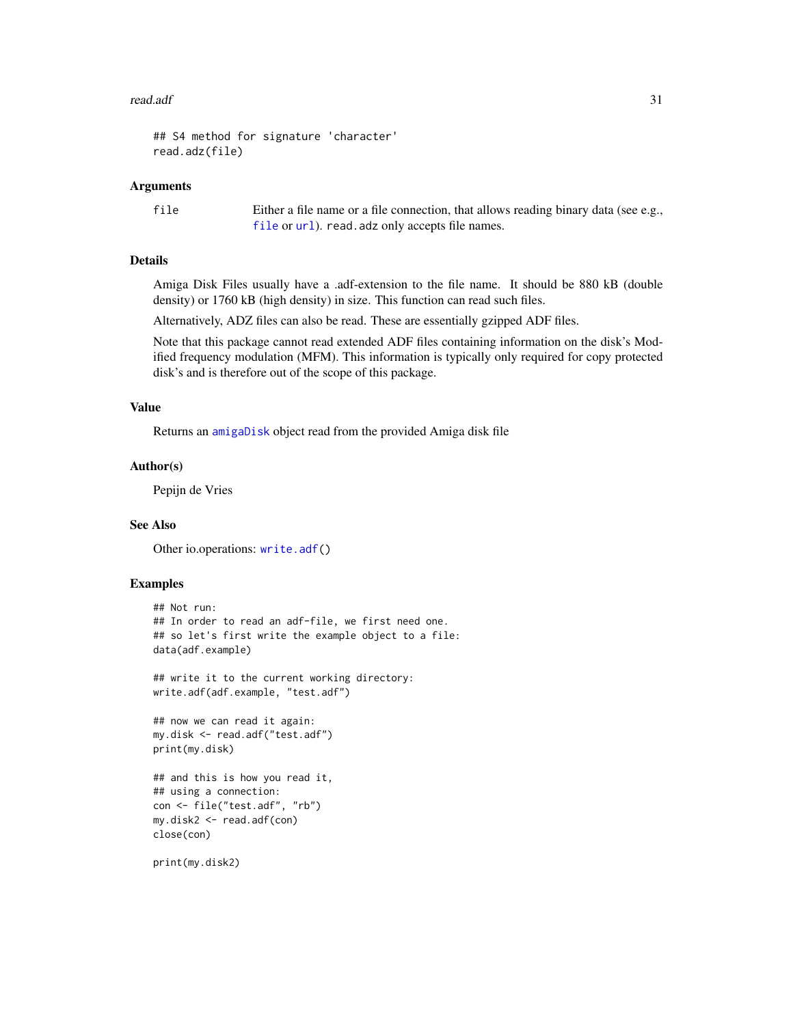#### <span id="page-30-0"></span>read.adf 31

```
## S4 method for signature 'character'
read.adz(file)
```
#### Arguments

file Either a file name or a file connection, that allows reading binary data (see e.g., [file](#page-0-0) or [url](#page-0-0)). read.adz only accepts file names.

# Details

Amiga Disk Files usually have a .adf-extension to the file name. It should be 880 kB (double density) or 1760 kB (high density) in size. This function can read such files.

Alternatively, ADZ files can also be read. These are essentially gzipped ADF files.

Note that this package cannot read extended ADF files containing information on the disk's Modified frequency modulation (MFM). This information is typically only required for copy protected disk's and is therefore out of the scope of this package.

# Value

Returns an [amigaDisk](#page-8-1) object read from the provided Amiga disk file

# Author(s)

Pepijn de Vries

# See Also

Other io.operations: [write.adf\(](#page-31-1))

# Examples

```
## Not run:
## In order to read an adf-file, we first need one.
## so let's first write the example object to a file:
data(adf.example)
```
## write it to the current working directory: write.adf(adf.example, "test.adf")

```
## now we can read it again:
my.disk <- read.adf("test.adf")
print(my.disk)
```

```
## and this is how you read it,
## using a connection:
con <- file("test.adf", "rb")
my.disk2 <- read.adf(con)
close(con)
```
print(my.disk2)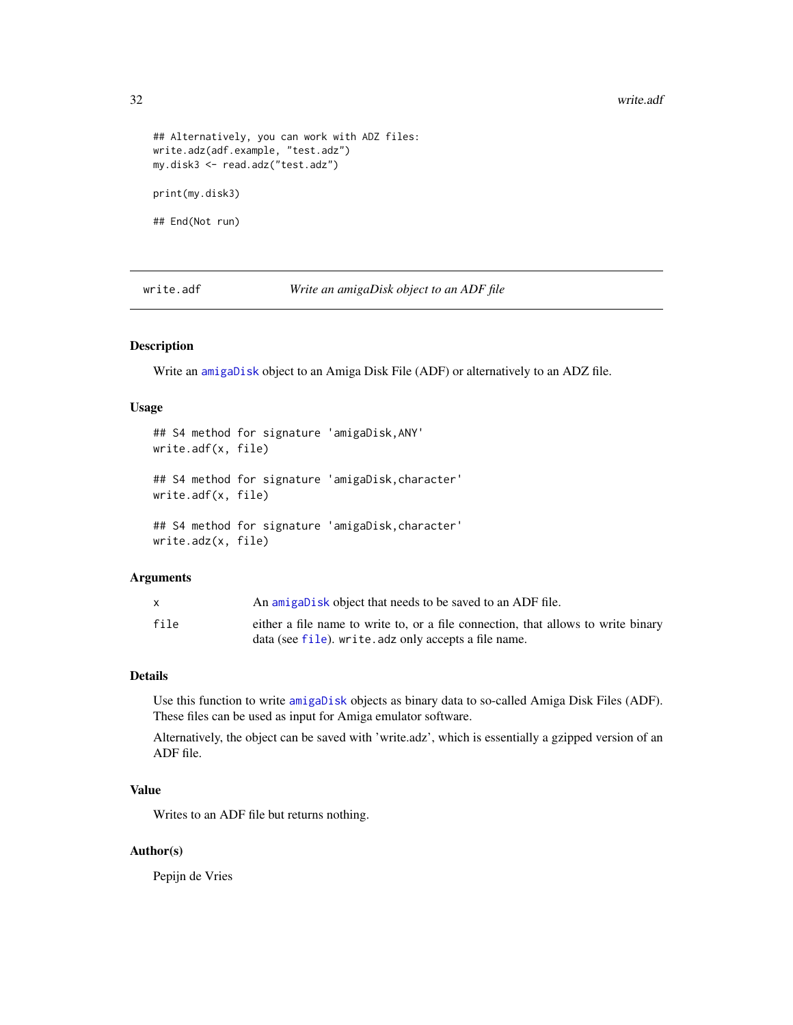#### 32 write.adf

```
## Alternatively, you can work with ADZ files:
write.adz(adf.example, "test.adz")
my.disk3 <- read.adz("test.adz")
print(my.disk3)
## End(Not run)
```
<span id="page-31-1"></span>write.adf *Write an amigaDisk object to an ADF file*

# Description

Write an [amigaDisk](#page-8-1) object to an Amiga Disk File (ADF) or alternatively to an ADZ file.

# Usage

```
## S4 method for signature 'amigaDisk,ANY'
write.adf(x, file)
## S4 method for signature 'amigaDisk,character'
write.adf(x, file)
## S4 method for signature 'amigaDisk,character'
write.adz(x, file)
```
# Arguments

|      | An amigabisk object that needs to be saved to an ADF file.                        |
|------|-----------------------------------------------------------------------------------|
| file | either a file name to write to, or a file connection, that allows to write binary |
|      | data (see file), write, adz only accepts a file name.                             |

# Details

Use this function to write [amigaDisk](#page-8-1) objects as binary data to so-called Amiga Disk Files (ADF). These files can be used as input for Amiga emulator software.

Alternatively, the object can be saved with 'write.adz', which is essentially a gzipped version of an ADF file.

# Value

Writes to an ADF file but returns nothing.

# Author(s)

Pepijn de Vries

<span id="page-31-0"></span>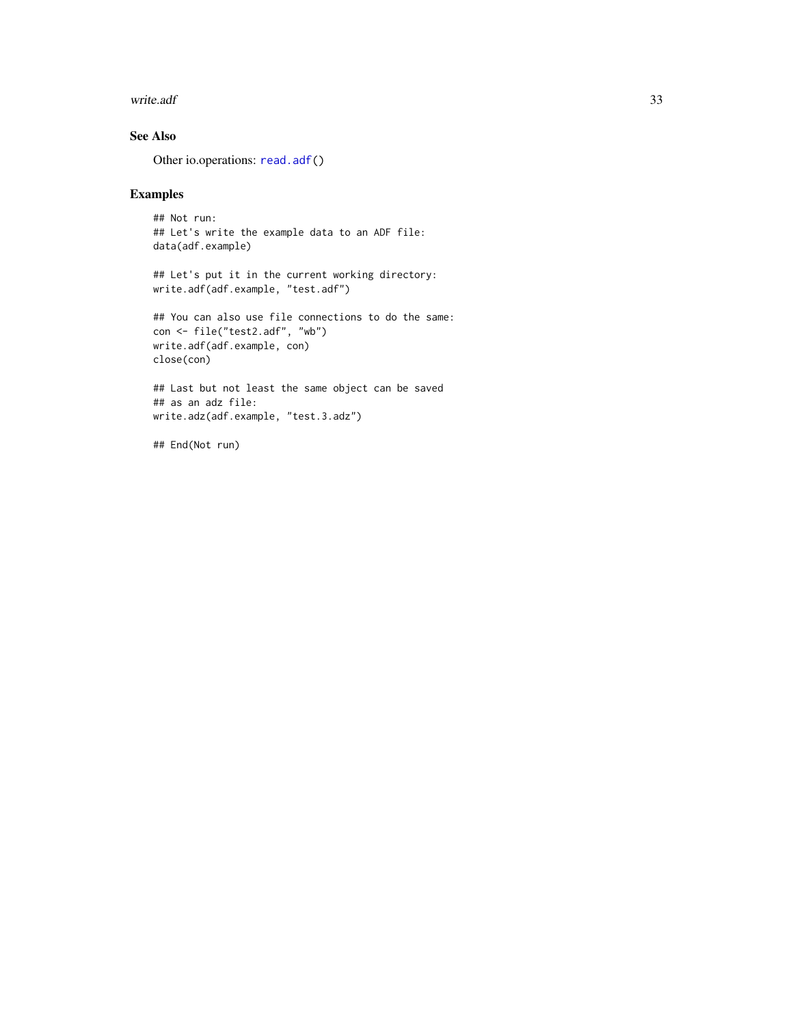#### <span id="page-32-0"></span>write.adf 33

# See Also

Other io.operations: [read.adf\(](#page-29-1))

# Examples

```
## Not run:
## Let's write the example data to an ADF file:
data(adf.example)
```

```
## Let's put it in the current working directory:
write.adf(adf.example, "test.adf")
```

```
## You can also use file connections to do the same:
con <- file("test2.adf", "wb")
write.adf(adf.example, con)
close(con)
```

```
## Last but not least the same object can be saved
## as an adz file:
write.adz(adf.example, "test.3.adz")
```
## End(Not run)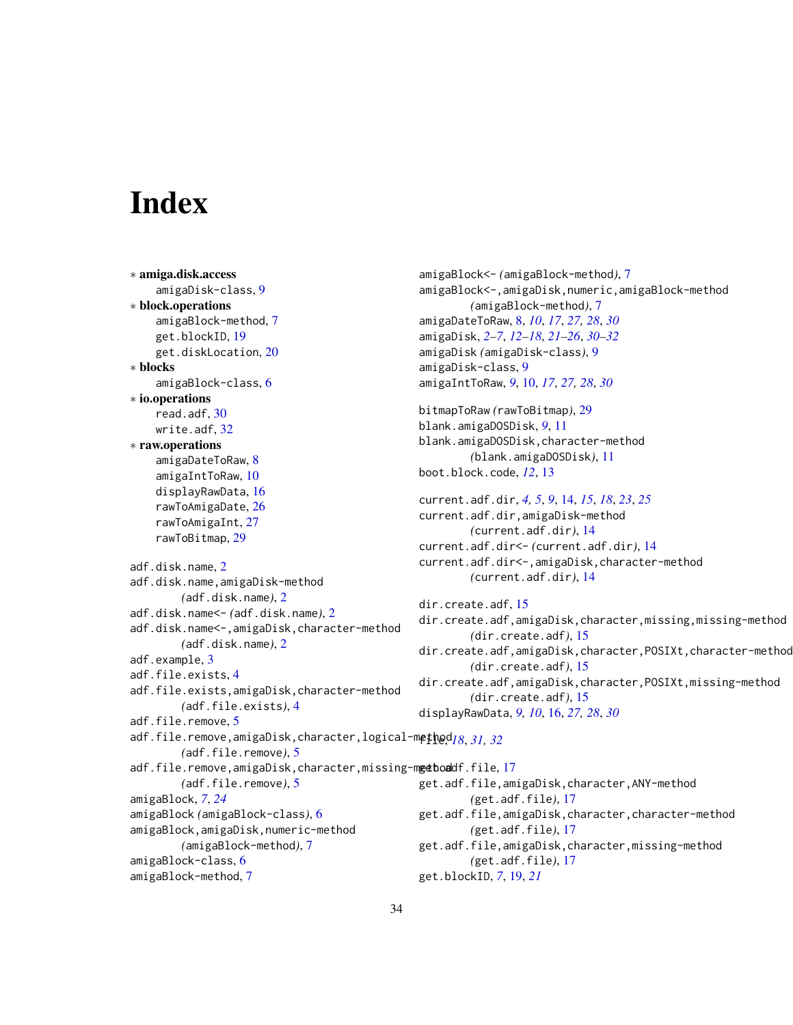# <span id="page-33-0"></span>**Index**

∗ amiga.disk.access amigaDisk-class, [9](#page-8-0) ∗ block.operations amigaBlock-method, [7](#page-6-0) get.blockID, [19](#page-18-0) get.diskLocation, [20](#page-19-0) ∗ blocks amigaBlock-class, [6](#page-5-0) ∗ io.operations read.adf, [30](#page-29-0) write.adf, [32](#page-31-0) ∗ raw.operations amigaDateToRaw, [8](#page-7-0) amigaIntToRaw, [10](#page-9-0) displayRawData, [16](#page-15-0) rawToAmigaDate, [26](#page-25-0) rawToAmigaInt, [27](#page-26-0) rawToBitmap, [29](#page-28-0) adf.disk.name, [2](#page-1-0) adf.disk.name,amigaDisk-method *(*adf.disk.name*)*, [2](#page-1-0) adf.disk.name<- *(*adf.disk.name*)*, [2](#page-1-0) adf.disk.name<-,amigaDisk,character-method *(*adf.disk.name*)*, [2](#page-1-0) adf.example, [3](#page-2-0) adf.file.exists, [4](#page-3-0) adf.file.exists,amigaDisk,character-method *(*adf.file.exists*)*, [4](#page-3-0) adf.file.remove, [5](#page-4-0) adf.file.remove,amigaDisk,character,logical-method file, *[18](#page-17-0)*, *[31,](#page-30-0) [32](#page-31-0) (*adf.file.remove*)*, [5](#page-4-0) adf.file.remove,amigaDisk,character,missing-mgethoaddf.file,[17](#page-16-0) *(*adf.file.remove*)*, [5](#page-4-0) amigaBlock, *[7](#page-6-0)*, *[24](#page-23-0)* amigaBlock *(*amigaBlock-class*)*, [6](#page-5-0) amigaBlock,amigaDisk,numeric-method *(*amigaBlock-method*)*, [7](#page-6-0) amigaBlock-class, [6](#page-5-0) amigaBlock-method, [7](#page-6-0) get.adf.file,amigaDisk,character,missing-method get.blockID, *[7](#page-6-0)*, [19,](#page-18-0) *[21](#page-20-0)*

```
amigaBlock<- (amigaBlock-method), 7
amigaBlock<-,amigaDisk,numeric,amigaBlock-method
        (amigaBlock-method), 7
amigaDateToRaw, 8, 10, 17, 27, 28, 30
amigaDisk, 2–7, 12–18, 21–26, 30–32
amigaDisk (amigaDisk-class), 9
amigaDisk-class, 9
amigaIntToRaw, 9, 10, 17, 27, 28, 30
bitmapToRaw (rawToBitmap), 29
blank.amigaDOSDisk, 9, 11
blank.amigaDOSDisk,character-method
        (blank.amigaDOSDisk), 11
boot.block.code, 12, 13
current.adf.dir, 4, 5, 9, 14, 15, 18, 23, 25
current.adf.dir,amigaDisk-method
        (current.adf.dir), 14
current.adf.dir<- (current.adf.dir), 14
current.adf.dir<-,amigaDisk,character-method
        (current.adf.dir), 14
dir.create.adf, 15
dir.create.adf,amigaDisk,character,missing,missing-method
        (dir.create.adf), 15
dir.create.adf,amigaDisk,character,POSIXt,character-method
        (dir.create.adf), 15
dir.create.adf,amigaDisk,character,POSIXt,missing-method
        (dir.create.adf), 15
displayRawData, 9, 10, 16, 27, 28, 30
get.adf.file,amigaDisk,character,ANY-method
        (get.adf.file), 17
get.adf.file,amigaDisk,character,character-method
```
*(*get.adf.file*)*, [17](#page-16-0)

*(*get.adf.file*)*, [17](#page-16-0)